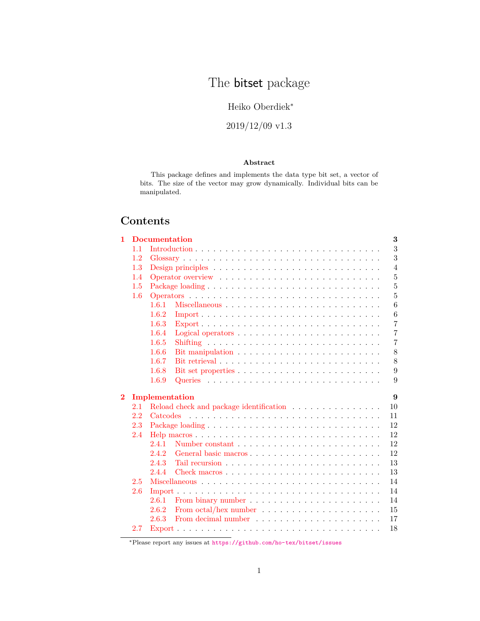# The **bitset** package

## Heiko Oberdiek<sup>∗</sup>

## 2019/12/09 v1.3

## **Abstract**

This package defines and implements the data type bit set, a vector of bits. The size of the vector may grow dynamically. Individual bits can be manipulated.

## **Contents**

| $\mathbf{1}$   |     | <b>Documentation</b> |                                                                   | 3              |
|----------------|-----|----------------------|-------------------------------------------------------------------|----------------|
|                | 1.1 |                      |                                                                   | 3              |
|                | 1.2 |                      |                                                                   | 3              |
|                | 1.3 |                      |                                                                   | $\overline{4}$ |
|                | 1.4 |                      |                                                                   | $\overline{5}$ |
|                | 1.5 |                      |                                                                   | $\overline{5}$ |
|                | 1.6 |                      |                                                                   | 5              |
|                |     | 1.6.1                |                                                                   | 6              |
|                |     | 1.6.2                |                                                                   | $\,6$          |
|                |     | 1.6.3                |                                                                   | $\overline{7}$ |
|                |     | 1.6.4                |                                                                   | $\overline{7}$ |
|                |     | 1.6.5                |                                                                   | $\overline{7}$ |
|                |     | 1.6.6                |                                                                   | 8              |
|                |     | 1.6.7                |                                                                   | 8              |
|                |     | 1.6.8                |                                                                   | 9              |
|                |     | 1.6.9                |                                                                   | 9              |
|                |     |                      |                                                                   |                |
|                |     |                      |                                                                   |                |
|                |     |                      | Implementation                                                    | 9              |
| $\overline{2}$ | 2.1 |                      | Reload check and package identification                           | 10             |
|                | 2.2 |                      |                                                                   | 11             |
|                | 2.3 |                      |                                                                   | 12             |
|                | 2.4 |                      |                                                                   | 12             |
|                |     | 2.4.1                |                                                                   | 12             |
|                |     | 2.4.2                |                                                                   | 12             |
|                |     | 2.4.3                |                                                                   | 13             |
|                |     | 2.4.4                |                                                                   | 13             |
|                | 2.5 |                      |                                                                   | 14             |
|                | 2.6 |                      |                                                                   | 14             |
|                |     | 2.6.1                |                                                                   | 14             |
|                |     | 2.6.2                | From octal/hex number $\dots \dots \dots \dots \dots \dots \dots$ | 15             |
|                | 2.7 | 2.6.3                |                                                                   | 17<br>18       |

<sup>∗</sup>Please report any issues at <https://github.com/ho-tex/bitset/issues>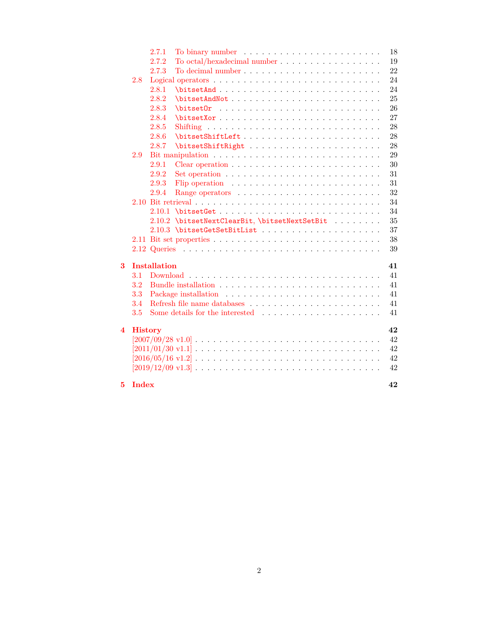|                         |                | 2.7.1               |                                                                                                          | $18\,$ |
|-------------------------|----------------|---------------------|----------------------------------------------------------------------------------------------------------|--------|
|                         |                | 2.7.2               | To octal/hexadecimal number $\ldots \ldots \ldots \ldots \ldots \ldots$                                  | 19     |
|                         |                | 2.7.3               |                                                                                                          | 22     |
|                         | 2.8            |                     |                                                                                                          | 24     |
|                         |                | 2.8.1               |                                                                                                          | 24     |
|                         |                | 2.8.2               |                                                                                                          | 25     |
|                         |                | 2.8.3               | $\big\{\text{bitsetOr}\quad \ldots \quad \ldots \quad \ldots \quad \ldots \quad \ldots \quad \ldots$     | 26     |
|                         |                | 2.8.4               |                                                                                                          | 27     |
|                         |                | 2.8.5               |                                                                                                          | 28     |
|                         |                | 2.8.6               |                                                                                                          | 28     |
|                         |                | 2.8.7               |                                                                                                          | 28     |
|                         | 2.9            |                     |                                                                                                          | 29     |
|                         |                | 2.9.1               |                                                                                                          | 30     |
|                         |                | 2.9.2               | Set operation $\ldots \ldots \ldots \ldots \ldots \ldots \ldots \ldots \ldots$                           | 31     |
|                         |                | 2.9.3               | Flip operation $\ldots \ldots \ldots \ldots \ldots \ldots \ldots \ldots$                                 | 31     |
|                         |                | 2.9.4               |                                                                                                          | 32     |
|                         |                |                     |                                                                                                          | 34     |
|                         |                |                     |                                                                                                          | 34     |
|                         |                |                     | 2.10.2 \bitsetNextClearBit, \bitsetNextSetBit                                                            | 35     |
|                         |                |                     |                                                                                                          | 37     |
|                         |                |                     |                                                                                                          | 38     |
|                         |                |                     |                                                                                                          | 39     |
| $\overline{\mathbf{3}}$ |                | <b>Installation</b> |                                                                                                          | 41     |
|                         | 3.1            |                     |                                                                                                          | 41     |
|                         | 3.2            |                     |                                                                                                          | 41     |
|                         | 3.3            |                     |                                                                                                          | 41     |
|                         | 3.4            |                     | Refresh file name databases $\dots \dots \dots \dots \dots \dots \dots \dots \dots$                      | 41     |
|                         | 3.5            |                     | Some details for the interested $\ldots \ldots \ldots \ldots \ldots \ldots$                              | 41     |
| 4                       | <b>History</b> |                     |                                                                                                          | 42     |
|                         |                |                     |                                                                                                          | 42     |
|                         |                |                     | $[2011/01/30 \text{ v}1.1] \ldots \ldots \ldots \ldots \ldots \ldots \ldots \ldots \ldots \ldots \ldots$ | 42     |
|                         |                |                     |                                                                                                          | 42     |
|                         |                |                     | $[2019/12/09 \text{ v}1.3]$                                                                              | 42     |
| 5                       | <b>Index</b>   |                     |                                                                                                          | 42     |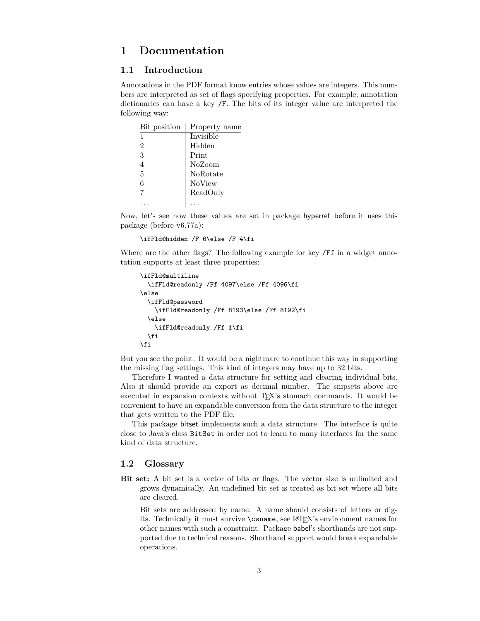## <span id="page-2-0"></span>**1 Documentation**

## <span id="page-2-1"></span>**1.1 Introduction**

Annotations in the PDF format know entries whose values are integers. This numbers are interpreted as set of flags specifying properties. For example, annotation dictionaries can have a key /F. The bits of its integer value are interpreted the following way:

| Bit position   | Property name |
|----------------|---------------|
| 1              | Invisible     |
| $\overline{2}$ | Hidden        |
| 3              | Print         |
| 4              | NoZoom        |
| 5              | NoRotate      |
| 6              | <b>NoView</b> |
| 7              | ReadOnly      |
|                |               |

Now, let's see how these values are set in package hyperref before it uses this package (before v6.77a):

```
\ifFld@hidden /F 6\else /F 4\fi
```
Where are the other flags? The following example for key /Ff in a widget annotation supports at least three properties:

```
\ifFld@multiline
  \ifFld@readonly /Ff 4097\else /Ff 4096\fi
\else
  \ifFld@password
    \ifFld@readonly /Ff 8193\else /Ff 8192\fi
  \else
    \ifFld@readonly /Ff 1\fi
  \fi
\fi
```
But you see the point. It would be a nightmare to continue this way in supporting the missing flag settings. This kind of integers may have up to 32 bits.

Therefore I wanted a data structure for setting and clearing individual bits. Also it should provide an export as decimal number. The snipsets above are executed in expansion contexts without T<sub>E</sub>X's stomach commands. It would be convenient to have an expandable conversion from the data structure to the integer that gets written to the PDF file.

This package bitset implements such a data structure. The interface is quite close to Java's class BitSet in order not to learn to many interfaces for the same kind of data structure.

## <span id="page-2-2"></span>**1.2 Glossary**

**Bit set:** A bit set is a vector of bits or flags. The vector size is unlimited and grows dynamically. An undefined bit set is treated as bit set where all bits are cleared.

Bit sets are addressed by name. A name should consists of letters or digits. Technically it must survive \csname, see LATEX's environment names for other names with such a constraint. Package babel's shorthands are not supported due to technical reasons. Shorthand support would break expandable operations.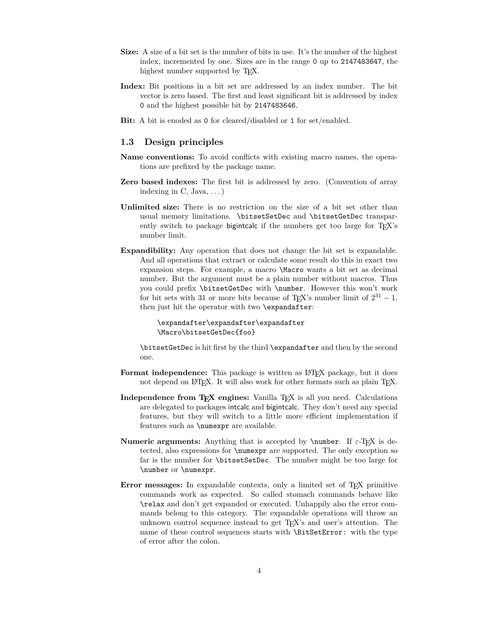- **Size:** A size of a bit set is the number of bits in use. It's the number of the highest index, incremented by one. Sizes are in the range 0 up to 2147483647, the highest number supported by T<sub>E</sub>X.
- **Index:** Bit positions in a bit set are addressed by an index number. The bit vector is zero based. The first and least significant bit is addressed by index 0 and the highest possible bit by 2147483646.
- **Bit:** A bit is enoded as 0 for cleared/disabled or 1 for set/enabled.

## <span id="page-3-0"></span>**1.3 Design principles**

- **Name conventions:** To avoid conflicts with existing macro names, the operations are prefixed by the package name.
- **Zero based indexes:** The first bit is addressed by zero. (Convention of array indexing in  $C$ , Java,  $\dots$ )
- **Unlimited size:** There is no restriction on the size of a bit set other than usual memory limitations. \bitsetSetDec and \bitsetGetDec transparently switch to package bigintcalc if the numbers get too large for T<sub>E</sub>X's number limit.
- **Expandibility:** Any operation that does not change the bit set is expandable. And all operations that extract or calculate some result do this in exact two expansion steps. For example, a macro \Macro wants a bit set as decimal number. But the argument must be a plain number without macros. Thus you could prefix \bitsetGetDec with \number. However this won't work for bit sets with 31 or more bits because of T<sub>E</sub>X's number limit of  $2^{31} - 1$ . then just hit the operator with two \expandafter:

```
\expandafter\expandafter\expandafter
\Macro\bitsetGetDec{foo}
```
\bitsetGetDec is hit first by the third \expandafter and then by the second one.

- **Format independence:** This package is written as LAT<sub>EX</sub> package, but it does not depend on LAT<sub>EX</sub>. It will also work for other formats such as plain T<sub>EX</sub>.
- **Independence from T<sub>E</sub>X engines:** Vanilla T<sub>E</sub>X is all you need. Calculations are delegated to packages intcalc and bigintcalc. They don't need any special features, but they will switch to a little more efficient implementation if features such as \numexpr are available.
- **Numeric arguments:** Anything that is accepted by  $\text{number. If } \varepsilon\text{-TFX}$  is detected, also expressions for \numexpr are supported. The only exception so far is the number for \bitsetSetDec. The number might be too large for \number or \numexpr.
- **Error messages:** In expandable contexts, only a limited set of T<sub>E</sub>X primitive commands work as expected. So called stomach commands behave like \relax and don't get expanded or executed. Unhappily also the error commands belong to this category. The expandable operations will throw an unknown control sequence instead to get TEX's and user's attention. The name of these control sequences starts with \BitSetError: with the type of error after the colon.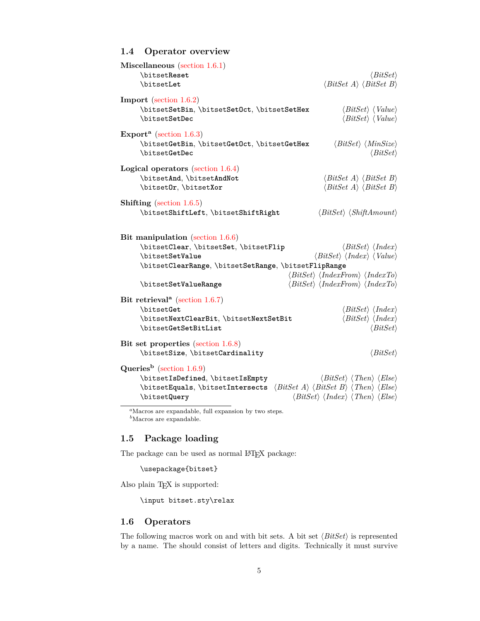## <span id="page-4-0"></span>**1.4 Operator overview**

| Miscellaneous (section $1.6.1$ )<br>\bitsetReset<br><b>\bitsetLet</b>                                                                                                                                                                                                     | $\langle BitSet \rangle$<br>$\langle BitSet \; A \rangle \; \langle BitSet \; B \rangle$                                                                                                                                                                                                       |
|---------------------------------------------------------------------------------------------------------------------------------------------------------------------------------------------------------------------------------------------------------------------------|------------------------------------------------------------------------------------------------------------------------------------------------------------------------------------------------------------------------------------------------------------------------------------------------|
| <b>Import</b> (section $1.6.2$ )<br>\bitsetSetBin, \bitsetSetOct, \bitsetSetHex<br>\bitsetSetDec                                                                                                                                                                          | $\langle BitSet \rangle$ $\langle Value \rangle$<br>$\langle BitSet \rangle$ $\langle Value \rangle$                                                                                                                                                                                           |
| Export <sup>a</sup> (section 1.6.3)<br>\bitsetGetBin, \bitsetGetOct, \bitsetGetHex<br>\bitsetGetDec                                                                                                                                                                       | $\langle BitSet \rangle$ $\langle MinSize \rangle$<br>$\langle BitSet \rangle$                                                                                                                                                                                                                 |
| Logical operators (section $1.6.4$ )<br>\bitsetAnd, \bitsetAndNot<br>\bitset0r, \bitsetXor                                                                                                                                                                                | $\langle BitSet \; A \rangle \; \langle BitSet \; B \rangle$<br>$\langle BitSet \; A \rangle \; \langle BitSet \; B \rangle$                                                                                                                                                                   |
| <b>Shifting</b> (section $1.6.5$ )<br>\bitsetShiftLeft, \bitsetShiftRight                                                                                                                                                                                                 | $\langle BitSet \rangle \langle ShiftAmount \rangle$                                                                                                                                                                                                                                           |
| Bit manipulation (section $1.6.6$ )<br>\bitsetClear, \bitsetSet, \bitsetFlip<br>\bitsetSetValue<br>\bitsetClearRange, \bitsetSetRange, \bitsetFlipRange<br>\bitsetSetValueRange                                                                                           | $\langle BitSet \rangle \langle Index \rangle$<br>$\langle BitSet \rangle$ $\langle Index \rangle$ $\langle Value \rangle$<br>$\langle BitSet \rangle$ $\langle IndexFrom \rangle$ $\langle IndexTo \rangle$<br>$\langle BitSet \rangle$ $\langle IndexFrom \rangle$ $\langle IndexTo \rangle$ |
| Bit retrieval <sup>a</sup> (section 1.6.7)<br>\bitsetGet<br>\bitsetNextClearBit, \bitsetNextSetBit<br>\bitsetGetSetBitList                                                                                                                                                | $\langle BitSet \rangle \langle Index \rangle$<br>$\langle BitSet \rangle \langle Index \rangle$<br>$\langle BitSet \rangle$                                                                                                                                                                   |
| Bit set properties (section 1.6.8)<br>\bitsetSize, \bitsetCardinality                                                                                                                                                                                                     | $\langle BitSet \rangle$                                                                                                                                                                                                                                                                       |
| Queries <sup>b</sup> (section 1.6.9)<br>\bitsetIsDefined, \bitsetIsEmpty<br>\bitsetEquals, \bitsetIntersects $\langle BitSet A \rangle \langle BitSet B \rangle \langle Else \rangle$<br>\bitsetQuery<br><sup>a</sup> Macros are expandable, full expansion by two steps. | $\langle BitSet \rangle \langle Then \rangle \langle Else \rangle$<br>$\langle Bitset \rangle \langle Index \rangle \langle Then \rangle \langle Else \rangle$                                                                                                                                 |

 $\ensuremath{^b\text{Macros}}$  are expandable.

## <span id="page-4-1"></span>**1.5 Package loading**

The package can be used as normal  $\mathbb{F}_p^{\rm T}$  package:

\usepackage{bitset}

Also plain TEX is supported:

\input bitset.sty\relax

## <span id="page-4-2"></span>**1.6 Operators**

The following macros work on and with bit sets. A bit set  $\langle BitSet \rangle$  is represented by a name. The should consist of letters and digits. Technically it must survive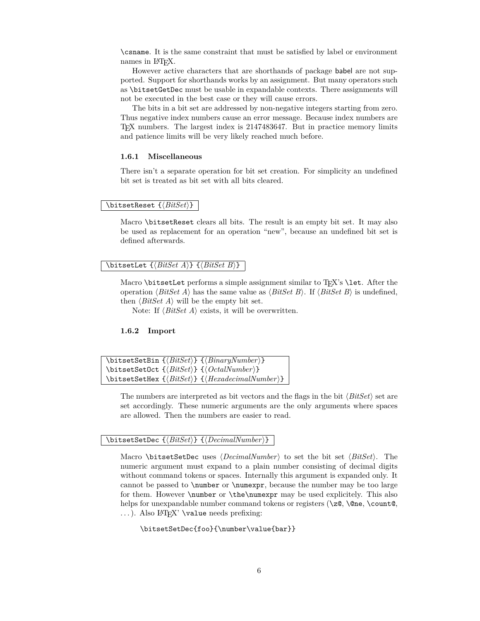\csname. It is the same constraint that must be satisfied by label or environment names in L<sup>AT</sup>FX.

However active characters that are shorthands of package babel are not supported. Support for shorthands works by an assignment. But many operators such as \bitsetGetDec must be usable in expandable contexts. There assignments will not be executed in the best case or they will cause errors.

The bits in a bit set are addressed by non-negative integers starting from zero. Thus negative index numbers cause an error message. Because index numbers are TEX numbers. The largest index is 2147483647. But in practice memory limits and patience limits will be very likely reached much before.

#### <span id="page-5-0"></span>**1.6.1 Miscellaneous**

There isn't a separate operation for bit set creation. For simplicity an undefined bit set is treated as bit set with all bits cleared.

#### <span id="page-5-3"></span> $\{ \BbbkSet} \$   $\{ \BbbkSet} \}$

Macro \bitsetReset clears all bits. The result is an empty bit set. It may also be used as replacement for an operation "new", because an undefined bit set is defined afterwards.

#### <span id="page-5-2"></span> $\big\{\tilde{\mathcal{B}}_t\leq A\} \quad \{\tilde{\mathcal{B}}_t\leq B\}\$

Macro  $\beta$  is the performs a simple assignment similar to T<sub>E</sub>X's  $\lambda$  et. After the operation  $\langle BitSet A \rangle$  has the same value as  $\langle BitSet B \rangle$ . If  $\langle BitSet B \rangle$  is undefined, then  $\langle BitSet A \rangle$  will be the empty bit set.

Note: If  $\langle BitSet \, A \rangle$  exists, it will be overwritten.

#### <span id="page-5-1"></span>**1.6.2 Import**

```
\bitsetSetBin {\BitSet}} {\BinaryNumber}}
\bitsetSetOct {\BitSet}} {\OctalNumber}}
\bitsetSetHex {\BitSet}} {\HexadecimalNumber}}
```
The numbers are interpreted as bit vectors and the flags in the bit  $\langle BitSet \rangle$  set are set accordingly. These numeric arguments are the only arguments where spaces are allowed. Then the numbers are easier to read.

#### <span id="page-5-5"></span> $\{ \Delta \} \ \{ \langle \textit{Detic} \ \{ \textit{BitSet} \} \ \} \ \{ \langle \textit{DecimalNumber} \rangle \} \ \}$

Macro \bitsetSetDec uses  $\langle DecimalNumber \rangle$  to set the bit set  $\langle BitSet \rangle$ . The numeric argument must expand to a plain number consisting of decimal digits without command tokens or spaces. Internally this argument is expanded only. It cannot be passed to \number or \numexpr, because the number may be too large for them. However \number or \the\numexpr may be used explicitely. This also helps for unexpandable number command tokens or registers ( $\zeta$ ,  $\theta$ ,  $\count$ , ...). Also L<sup>AT</sup>EX' \value needs prefixing:

\bitsetSetDec{foo}{\number\value{bar}}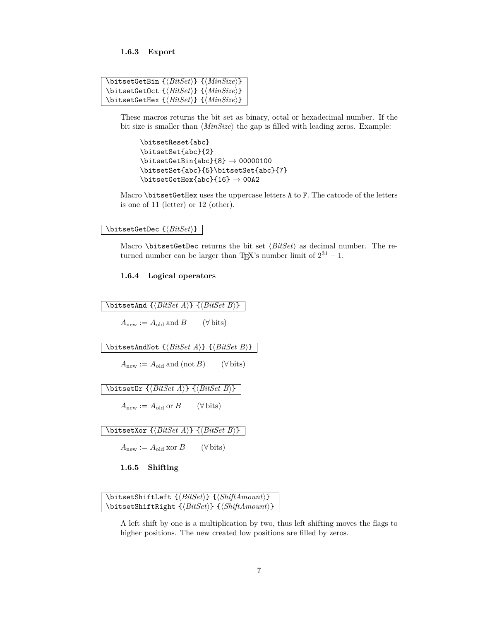<span id="page-6-0"></span>**1.6.3 Export**

<span id="page-6-5"></span>

| \bitsetGetBin $\{\langle BitSet \rangle\}$ $\{\langle MinSize \rangle\}$ |
|--------------------------------------------------------------------------|
| \bitsetGetOct $\{\langle BitSet \rangle\}$ $\{\langle MinSize \rangle\}$ |
| \bitsetGetHex $\{\langle BitSet \rangle\}$ $\{\langle MinSize \rangle\}$ |

These macros returns the bit set as binary, octal or hexadecimal number. If the bit size is smaller than  $\langle MinSize \rangle$  the gap is filled with leading zeros. Example:

```
\bitsetReset{abc}
\bitsetSet{abc}{2}
\big\{\n  <math>\big\} \rightarrow 00000100\bitsetSet{abc}{5}\bitsetSet{abc}{7}
\big\{\n  <i>blitsetGetHex{abc}{16} \rightarrow 00A2</i>\n
```
Macro \bitsetGetHex uses the uppercase letters A to F. The catcode of the letters is one of 11 (letter) or 12 (other).

<span id="page-6-6"></span> $\{ \Bbb{B} \setminus \Bbb{B} \}$ 

Macro \bitsetGetDec returns the bit set  $\langle BitSet \rangle$  as decimal number. The returned number can be larger than T<sub>E</sub>X's number limit of  $2^{31} - 1$ .

#### <span id="page-6-1"></span>**1.6.4 Logical operators**

<span id="page-6-7"></span><span id="page-6-4"></span><span id="page-6-3"></span> $\big\{\tilde{\text{BitSetAnd }\{\text{BitSet }A}\}\ \over \{\text{BitSet }B\}}$  $A_{\text{new}} := A_{\text{old}} \text{ and } B$  ( $\forall$  bits)  $\big\{\tilde{\mathcal{B}}_t\leq A\} \quad \{ \tilde{\mathcal{B}}_t\leq B\}$  $A_{\text{new}} := A_{\text{old}} \text{ and } (\text{not } B) \qquad (\forall \text{ bits})$  $\big\{\tilde{\text{BitSet}} \mid \{\text{BitSet } A\} \mid \{\text{BitSet } B\} \}$  $A_{\text{new}} := A_{\text{old}}$  or *B* ( $\forall$  bits) \bitsetXor  ${\langle BitSet \; A \rangle}$   ${\langle BitSet \; B \rangle}$  $A_{\text{new}} := A_{\text{old}} \text{ xor } B$  ( $\forall$  bits) **1.6.5 Shifting**

<span id="page-6-9"></span><span id="page-6-8"></span><span id="page-6-2"></span> $\big\{\tilde{\mathcal{B}}\$  { $\mathcal{B}\$  { $\mathcal{B}\$  { $\mathcal{B}\$  { $\mathcal{B}\$  $\big\{\Bbb{B} if the right of the set \S{\hat{B}} is defined by the set \S{\hat{B}}.$ 

A left shift by one is a multiplication by two, thus left shifting moves the flags to higher positions. The new created low positions are filled by zeros.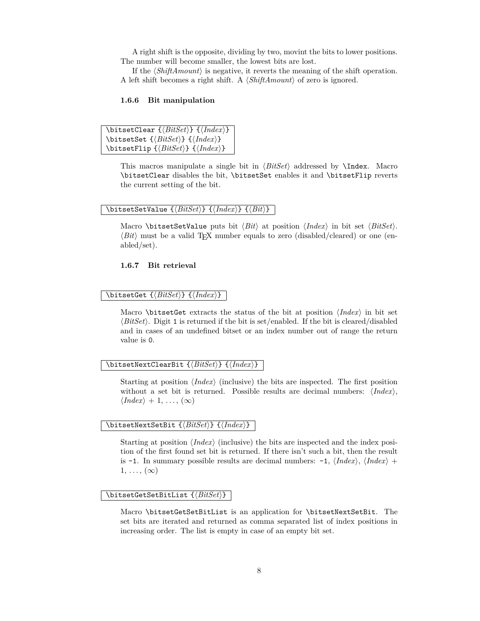A right shift is the opposite, dividing by two, movint the bits to lower positions. The number will become smaller, the lowest bits are lost.

If the  $\langle ShiftAmount\rangle$  is negative, it reverts the meaning of the shift operation. A left shift becomes a right shift. A  $\langle ShifAnount\rangle$  of zero is ignored.

#### <span id="page-7-0"></span>**1.6.6 Bit manipulation**

```
\big\{\tilde{BitSet} \} \quad \{ \langle \tilde{Index} \rangle \}\bitsetSet {\langle BitSet \rangle} {\langle Index \rangle}\big\{\langle BitSet \rangle\} {\langle Index \rangle}
```
This macros manipulate a single bit in  $\langle BitSet \rangle$  addressed by **\Index.** Macro \bitsetClear disables the bit, \bitsetSet enables it and \bitsetFlip reverts the current setting of the bit.

#### <span id="page-7-7"></span> $\{ \Delta x \} \ \{ \langle BitSet \rangle \} \ \{ \langle Hdet \rangle \} \ \{ \langle Bit \rangle \}$

Macro \bitsetSetValue puts bit  $\langle Bit \rangle$  at position  $\langle Index \rangle$  in bit set  $\langle BitSet \rangle$ .  $\langle Bit \rangle$  must be a valid T<sub>EX</sub> number equals to zero (disabled/cleared) or one (enabled/set).

#### <span id="page-7-1"></span>**1.6.7 Bit retrieval**

#### <span id="page-7-3"></span> $\big\{\Delta \left\{ \left\{ \left\{ BitSet \right\} \right\} \right\}$

Macro \bitsetGet extracts the status of the bit at position  $\langle Index \rangle$  in bit set  $\langle BitSet \rangle$ . Digit 1 is returned if the bit is set/enabled. If the bit is cleared/disabled and in cases of an undefined bitset or an index number out of range the return value is 0.

#### <span id="page-7-5"></span>\bitsetNextClearBit {*\BitSet*}} {*\Index*}}

Starting at position  $\langle Index \rangle$  (inclusive) the bits are inspected. The first position without a set bit is returned. Possible results are decimal numbers:  $\langle Index\rangle$ ,  $\langle Index \rangle + 1, \ldots, (\infty)$ 

#### <span id="page-7-6"></span>\bitsetNextSetBit {\*BitSet*}} {\*Index*}}

Starting at position  $\langle Index \rangle$  (inclusive) the bits are inspected and the index position of the first found set bit is returned. If there isn't such a bit, then the result is -1. In summary possible results are decimal numbers:  $-1$ ,  $\langle Index \rangle$ ,  $\langle Index \rangle$  +  $1, \ldots, (\infty)$ 

#### <span id="page-7-4"></span> $\{ \ob{BitSetGetSetBitList } \{ \mathit{BitSet} \} \}$

Macro \bitsetGetSetBitList is an application for \bitsetNextSetBit. The set bits are iterated and returned as comma separated list of index positions in increasing order. The list is empty in case of an empty bit set.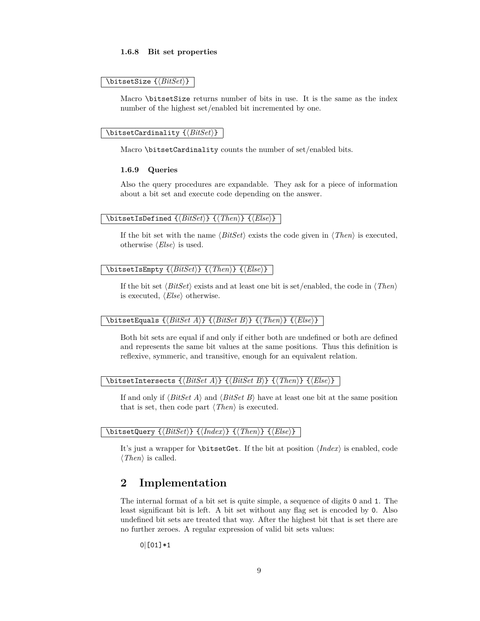#### <span id="page-8-0"></span>**1.6.8 Bit set properties**

#### <span id="page-8-9"></span> $\big\{\text{Size } {\text{BitSet}} \}$

Macro \bitsetSize returns number of bits in use. It is the same as the index number of the highest set/enabled bit incremented by one.

#### <span id="page-8-3"></span> $\{ \ob{BitSetCardinality \{ \} \} \}$

Macro \bitsetCardinality counts the number of set/enabled bits.

#### <span id="page-8-1"></span>**1.6.9 Queries**

Also the query procedures are expandable. They ask for a piece of information about a bit set and execute code depending on the answer.

#### <span id="page-8-6"></span> $\big\{\langle BitSet \rbrace \} \ \{\langle Then\rangle\} \ \{\langle Else\rangle\}$

If the bit set with the name  $\langle BitSet \rangle$  exists the code given in  $\langle Then \rangle$  is executed, otherwise  $\langle Else\rangle$  is used.

#### <span id="page-8-7"></span> $\big\{\langle BitSet\} \ \ {\langle \langle Then \rangle\} \ \ {\langle \langle Else \rangle\} \ \ \ \}$

If the bit set  $\langle BitSet \rangle$  exists and at least one bit is set/enabled, the code in  $\langle Then \rangle$ is executed,  $\langle Else\rangle$  otherwise.

#### <span id="page-8-4"></span> $\big\{\exists s \in \{Bitset{B} \mid \langle Bitset \mid A \rangle\} \cup \{\exists t \in B \} \} \cup \{Then\} \cup \{\exists t \in A \}$

Both bit sets are equal if and only if either both are undefined or both are defined and represents the same bit values at the same positions. Thus this definition is reflexive, symmeric, and transitive, enough for an equivalent relation.

#### <span id="page-8-5"></span> $\big\{\exists f \in \{BitsetIntersects \} \cup \{Bitset \} \} \cup \{Theen\} \cup \{Else\}$

If and only if  $\langle BitSet A \rangle$  and  $\langle BitSet B \rangle$  have at least one bit at the same position that is set, then code part  $\langle Then \rangle$  is executed.

#### <span id="page-8-8"></span> $\{ \Bbb{I}\$  { $\{BitsetQuery \ {\Bbb{I}} \ {\{ \Index\} \} \ {\Bbb{I}} \ {\Bbb{I}} \}$

It's just a wrapper for **\bitsetGet**. If the bit at position  $\langle Index \rangle$  is enabled, code  $\langle$ *Then* $\rangle$  is called.

## <span id="page-8-2"></span>**2 Implementation**

The internal format of a bit set is quite simple, a sequence of digits 0 and 1. The least significant bit is left. A bit set without any flag set is encoded by 0. Also undefined bit sets are treated that way. After the highest bit that is set there are no further zeroes. A regular expression of valid bit sets values:

0|[01]\*1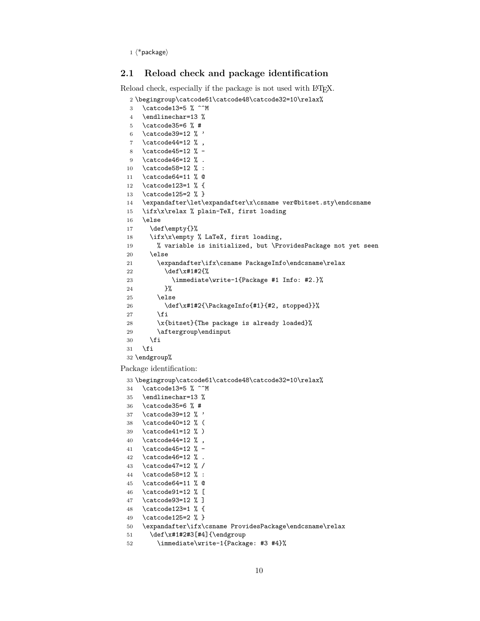$1 \langle *packet$ ackage $\rangle$ 

## <span id="page-9-0"></span>**2.1 Reload check and package identification**

Reload check, especially if the package is not used with LAT<sub>EX</sub>.

```
2 \begingroup\catcode61\catcode48\catcode32=10\relax%
3 \catcode13=5 % ^^M
4 \endlinechar=13 %
5 \catcode35=6 % #
6 \catcode39=12 \% '
7 \catcode44=12 %,
8 \catcode45=12 % -
9 \catcode46=12 % .
10 \catcode58=12 % :
11 \catcode64=11 % @
12 \catcode123=1 % {
13 \catcode125=2 % }
14 \expandafter\let\expandafter\x\csname ver@bitset.sty\endcsname
15 \ifx\x\relax % plain-TeX, first loading
16 \else
17 \def\empty{}%
18 \ifx\x\empty % LaTeX, first loading,
19 % variable is initialized, but \ProvidesPackage not yet seen
20 \else
21 \expandafter\ifx\csname PackageInfo\endcsname\relax
22 \det\{x\#1\#2\}23 \immediate\write-1{Package #1 Info: #2.}%
24 }%
25 \else
26 \def\x#1#2{\PackageInfo{#1}{#2, stopped}}%
27 \setminusfi
28 \x{bitset}{The package is already loaded}%
29 \aftergroup\endinput
30 \foralli
31 \fi
32 \endgroup%
```
<span id="page-9-42"></span><span id="page-9-41"></span><span id="page-9-40"></span><span id="page-9-39"></span><span id="page-9-37"></span><span id="page-9-33"></span><span id="page-9-30"></span><span id="page-9-1"></span>Package identification:

```
33 \begingroup\catcode61\catcode48\catcode32=10\relax%
34 \catcode13=5 % ^^M
35 \endlinechar=13 %
36 \catcode35=6 % #
37 \catcode39=12 % '
38 \catcode40=12 % (
39 \catcode41=12 % )
40 \catcode44=12 % ,
41 \catcode45=12 % -
42 \catcode46=12 % .
43 \catcode47=12 % /
44 \catcode58=12 % :
45 \catcode64=11 % @
46 \catcode91=12 % [
47 \catcode93=12 % ]
48 \catcode123=1 % {
49 \catcode125=2 % }
50 \expandafter\ifx\csname ProvidesPackage\endcsname\relax
51 \def\x#1#2#3[#4]{\endgroup
52 \immediate\write-1{Package: #3 #4}%
```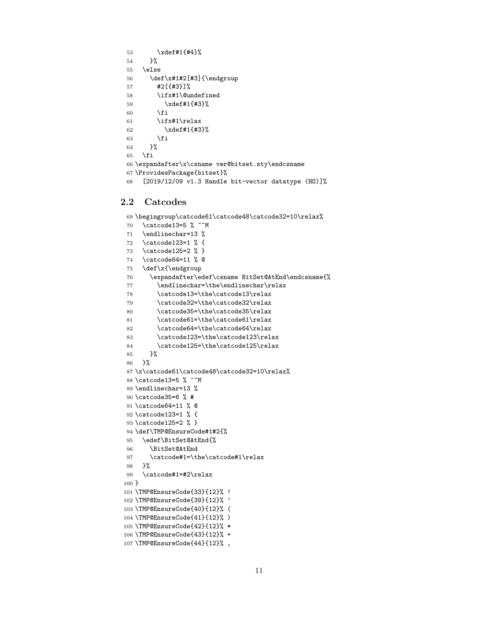```
53 \xdef#1{#4}%
54 }%
55 \else
56 \def\x#1#2[#3]{\endgroup
57 #2[{#3}]%
58 \ifx#1\@undefined
59 \xdef#1{#3}%
60 \overline{\ } \overline{\ } \fi
61 \ifx#1\relax
62 \xdef#1{#3}%
63 \fi
64 }%
65 \fi
66 \expandafter\x\csname ver@bitset.sty\endcsname
67 \ProvidesPackage{bitset}%
```

```
68 [2019/12/09 v1.3 Handle bit-vector datatype (HO)]%
```
## <span id="page-10-0"></span>**2.2 Catcodes**

```
69 \begingroup\catcode61\catcode48\catcode32=10\relax%
70 \catcode13=5 % ^^M
71 \endlinechar=13 %
72 \catcode123=1 % {
73 \catcode125=2 % }
74 \catcode64=11 % @
75 \def\x{\endgroup
76 \expandafter\edef\csname BitSet@AtEnd\endcsname{%
77 \endlinechar=\the\endlinechar\relax
78 \catcode13=\the\catcode13\relax
79 \catcode32=\the\catcode32\relax
80 \catcode35=\the\catcode35\relax
81 \catcode61=\the\catcode61\relax
82 \catcode64=\the\catcode64\relax
83 \catcode123=\the\catcode123\relax
84 \catcode125=\the\catcode125\relax
85 }%
86 }%
87 \x\catcode61\catcode48\catcode32=10\relax%
88 \catcode13=5 % ^^M
89 \endlinechar=13 %
90 \catcode35=6 % #
91 \catcode64=11 % @
92 \catcode123=1 % {
93 \catcode125=2 % }
94 \def\TMP@EnsureCode#1#2{%
95 \edef\BitSet@AtEnd{%
96 \BitSet@AtEnd
97 \catcode#1=\the\catcode#1\relax
98 }%
99 \catcode#1=#2\relax
100 }
101 \TMP@EnsureCode{33}{12}% !
102 \TMP@EnsureCode{39}{12}% '
103 \TMP@EnsureCode{40}{12}% (
104 \TMP@EnsureCode{41}{12}% )
105 \TMP@EnsureCode{42}{12}% *
106 \TMP@EnsureCode{43}{12}% +
107 \TMP@EnsureCode{44}{12}%,
```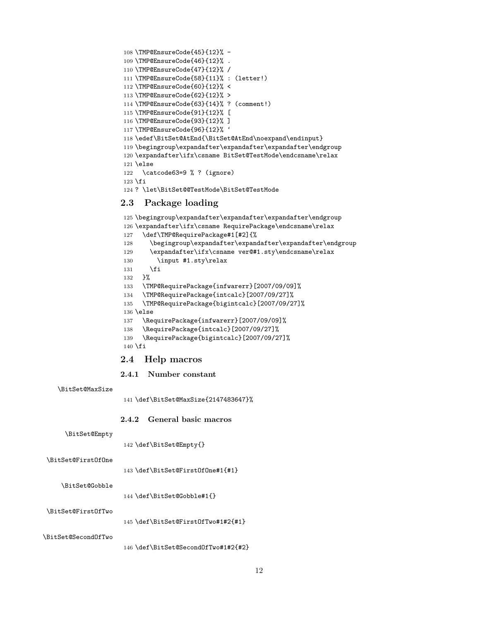```
108 \TMP@EnsureCode{45}{12}% -
109 \TMP@EnsureCode{46}{12}% .
110 \TMP@EnsureCode{47}{12}% /
111 \TMP@EnsureCode{58}{11}% : (letter!)
112 \TMP@EnsureCode{60}{12}% <
113 \TMP@EnsureCode{62}{12}% >
114 \TMP@EnsureCode{63}{14}% ? (comment!)
115 \TMP@EnsureCode{91}{12}% [
116 \TMP@EnsureCode{93}{12}% ]
117 \TMP@EnsureCode{96}{12}% '
118 \edef\BitSet@AtEnd{\BitSet@AtEnd\noexpand\endinput}
119 \begingroup\expandafter\expandafter\expandafter\endgroup
120 \expandafter\ifx\csname BitSet@TestMode\endcsname\relax
121 \else
122 \catcode63=9 % ? (ignore)
123 \fi
124 ? \let\BitSet@@TestMode\BitSet@TestMode
```
## <span id="page-11-29"></span><span id="page-11-13"></span><span id="page-11-12"></span><span id="page-11-5"></span><span id="page-11-4"></span><span id="page-11-0"></span>**2.3 Package loading**

```
125 \begingroup\expandafter\expandafter\expandafter\endgroup
126 \expandafter\ifx\csname RequirePackage\endcsname\relax
127 \def\TMP@RequirePackage#1[#2]{%
128 \begingroup\expandafter\expandafter\expandafter\endgroup
129 \expandafter\ifx\csname ver@#1.sty\endcsname\relax
130 \input #1.sty\relax
131 \fi
132 }%
133 \TMP@RequirePackage{infwarerr}[2007/09/09]%
134 \TMP@RequirePackage{intcalc}[2007/09/27]%
135 \TMP@RequirePackage{bigintcalc}[2007/09/27]%
136 \else
137 \RequirePackage{infwarerr}[2007/09/09]%
138 \RequirePackage{intcalc}[2007/09/27]%
139 \RequirePackage{bigintcalc}[2007/09/27]%
140 \overline{f}i
```
#### <span id="page-11-33"></span><span id="page-11-32"></span><span id="page-11-19"></span><span id="page-11-18"></span><span id="page-11-17"></span><span id="page-11-1"></span>**2.4 Help macros**

#### <span id="page-11-2"></span>**2.4.1 Number constant**

#### <span id="page-11-10"></span>\BitSet@MaxSize

\def\BitSet@MaxSize{2147483647}%

#### <span id="page-11-3"></span>**2.4.2 General basic macros**

#### <span id="page-11-6"></span>\BitSet@Empty

\def\BitSet@Empty{}

## <span id="page-11-7"></span>\BitSet@FirstOfOne

```
143 \def\BitSet@FirstOfOne#1{#1}
```
#### <span id="page-11-9"></span>\BitSet@Gobble

\def\BitSet@Gobble#1{}

### <span id="page-11-8"></span>\BitSet@FirstOfTwo

\def\BitSet@FirstOfTwo#1#2{#1}

## <span id="page-11-11"></span>\BitSet@SecondOfTwo

\def\BitSet@SecondOfTwo#1#2{#2}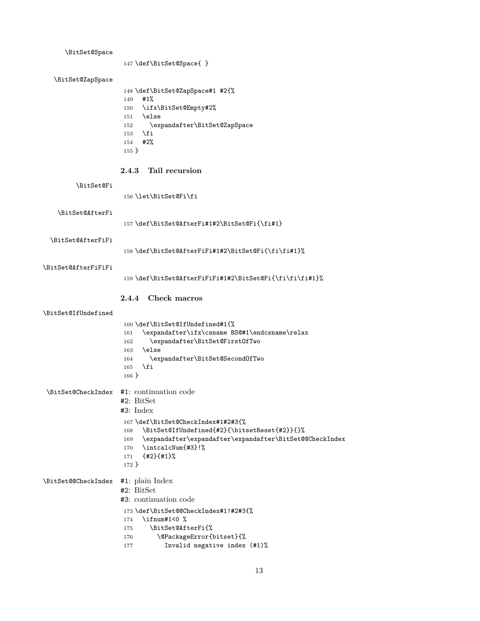<span id="page-12-23"></span><span id="page-12-22"></span><span id="page-12-21"></span><span id="page-12-20"></span><span id="page-12-19"></span><span id="page-12-18"></span><span id="page-12-17"></span><span id="page-12-16"></span><span id="page-12-15"></span><span id="page-12-14"></span><span id="page-12-13"></span><span id="page-12-12"></span><span id="page-12-11"></span><span id="page-12-10"></span><span id="page-12-9"></span><span id="page-12-8"></span><span id="page-12-7"></span><span id="page-12-6"></span><span id="page-12-5"></span><span id="page-12-4"></span><span id="page-12-3"></span><span id="page-12-2"></span><span id="page-12-1"></span><span id="page-12-0"></span>

| \BitSet@Space       |                                                                                               |
|---------------------|-----------------------------------------------------------------------------------------------|
|                     | 147 \def\BitSet@Space{ }                                                                      |
| \BitSet@ZapSpace    |                                                                                               |
|                     | 148 \def\BitSet@ZapSpace#1 #2{%<br>#1%<br>149                                                 |
|                     | \ifx\BitSet@Empty#2%<br>150<br>\else                                                          |
|                     | 151<br>\expandafter\BitSet@ZapSpace<br>152                                                    |
|                     | \fi<br>153                                                                                    |
|                     | #2%<br>154<br>$155$ }                                                                         |
|                     |                                                                                               |
|                     | Tail recursion<br>2.4.3                                                                       |
| \BitSet@Fi          |                                                                                               |
|                     | 156\let\BitSet@Fi\fi                                                                          |
| \BitSet@AfterFi     |                                                                                               |
|                     | 157 \def\BitSet@AfterFi#1#2\BitSet@Fi{\fi#1}                                                  |
| \BitSet@AfterFiFi   |                                                                                               |
|                     | 158 \def\BitSet@AfterFiFi#1#2\BitSet@Fi{\fi\fi#1}%                                            |
| \BitSet@AfterFiFiFi |                                                                                               |
|                     | 159 \def\BitSet@AfterFiFiFi#1#2\BitSet@Fi{\fi\fi\fi#1}%                                       |
|                     | 2.4.4 Check macros                                                                            |
| \BitSet@IfUndefined |                                                                                               |
|                     | 160 \def\BitSet@IfUndefined#1{%                                                               |
|                     | \expandafter\ifx\csname BS@#1\endcsname\relax<br>161<br>\expandafter\BitSet@FirstOfTwo<br>162 |
|                     | \else<br>163                                                                                  |
|                     | \expandafter\BitSet@SecondOfTwo<br>164<br>\fi<br>165                                          |
|                     | $166$ }                                                                                       |
|                     | \BitSet@CheckIndex #1: continuation code                                                      |
|                     | #2: BitSet                                                                                    |
|                     | #3: Index                                                                                     |
|                     | 167 \def\BitSet@CheckIndex#1#2#3{%<br>\BitSet@IfUndefined{#2}{\bitsetReset{#2}}{}%<br>168     |
|                     | \expandafter\expandafter\expandafter\BitSet@CheckIndex<br>169                                 |
|                     | \intcalcNum{#3}!%<br>170<br>${42}{41}\%$                                                      |
|                     | 171<br>$172$ }                                                                                |
| \BitSet@@CheckIndex | #1: plain Index                                                                               |
|                     | $#2: \text{BitSet}$                                                                           |
|                     | #3: continuation code                                                                         |
|                     | 173 \def\BitSet@@CheckIndex#1!#2#3{%<br>\ifnum#1<0 %<br>174                                   |
|                     | \BitSet@AfterFi{%<br>175                                                                      |
|                     | \@PackageError{bitset}{%<br>176                                                               |
|                     | Invalid negative index (#1)%<br>177                                                           |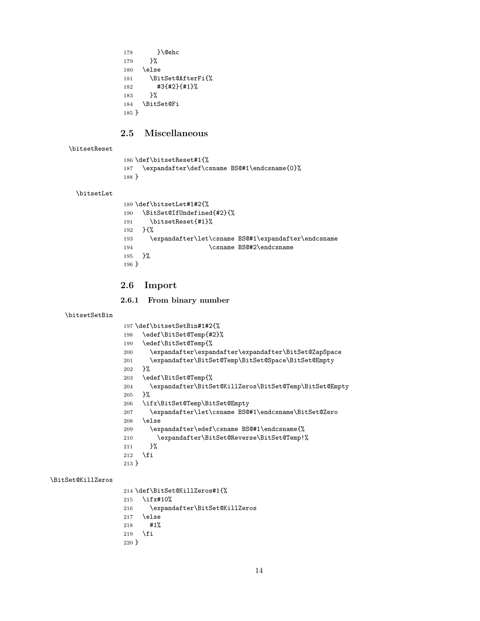```
178 }\@ehc
179 }%
180 \else
181 \BitSet@AfterFi{%
182 #3{#2}{#1}%
183 }%
184 \BitSet@Fi
185 }
```
## <span id="page-13-8"></span><span id="page-13-0"></span>**2.5 Miscellaneous**

#### <span id="page-13-18"></span>\bitsetReset

```
186 \def\bitsetReset#1{%
187 \expandafter\def\csname BS@#1\endcsname{0}%
188 }
```
#### <span id="page-13-17"></span>\bitsetLet

```
189 \def\bitsetLet#1#2{%
190 \BitSet@IfUndefined{#2}{%
191 \bitsetReset{#1}%
192 }{%
193 \expandafter\let\csname BS@#1\expandafter\endcsname
194 \csname BS@#2\endcsname
195 }%
196 }
```
## <span id="page-13-23"></span><span id="page-13-1"></span>**2.6 Import**

#### <span id="page-13-2"></span>**2.6.1 From binary number**

```
\bitsetSetBin
```
<span id="page-13-15"></span><span id="page-13-14"></span><span id="page-13-13"></span><span id="page-13-12"></span><span id="page-13-7"></span><span id="page-13-6"></span><span id="page-13-5"></span>

|         | 197 \def\bitsetSetBin#1#2{%                            |
|---------|--------------------------------------------------------|
| 198     | \edef\BitSet@Temp{#2}%                                 |
| 199     | \edef\BitSet@Temp{%                                    |
| 200     | \expandafter\expandafter\expandafter\BitSet@ZapSpace   |
| 201     | \expandafter\BitSet@Temp\BitSet@Space\BitSet@Empty     |
| 202     | ጉ%                                                     |
| 203     | \edef\BitSet@Temp{%                                    |
| 204     | \expandafter\BitSet@KillZeros\BitSet@Temp\BitSet@Empty |
| 205     | ን‰                                                     |
| 206     | \ifx\BitSet@Temp\BitSet@Empty                          |
| 207     | \expandafter\let\csname BS@#1\endcsname\BitSet@Zero    |
| 208     | \else                                                  |
| 209     | \expandafter\edef\csname BS@#1\endcsname{%             |
| 210     | \expandafter\BitSet@Reverse\BitSet@Temp!%              |
| 211     | }‰                                                     |
| 212     | \fi                                                    |
| $213$ } |                                                        |

#### <span id="page-13-10"></span>\BitSet@KillZeros

```
214 \def\BitSet@KillZeros#1{%
215 \ifx#10%
216 \expandafter\BitSet@KillZeros
217 \else
218 #1%
219 \overline{f}220 }
```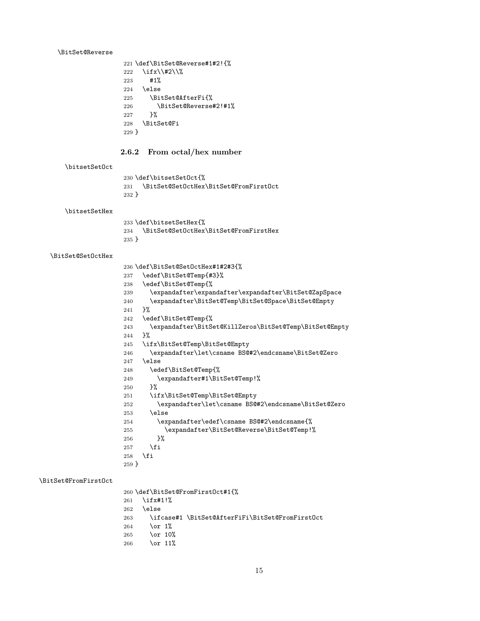#### <span id="page-14-12"></span>\BitSet@Reverse

<span id="page-14-2"></span><span id="page-14-1"></span>

|         | 221 \def\BitSet@Reverse#1#2!{% |
|---------|--------------------------------|
| 222     | \ifx\\#2\\%                    |
| 223     | #1%                            |
| 224     | \else                          |
| 225     | \BitSet@AfterFi{%              |
| 226     | \BitSet@Reverse#2!#1%          |
| 227     | ጉ%                             |
| 228     | <b>\BitSet@Fi</b>              |
| $229$ } |                                |

## <span id="page-14-8"></span><span id="page-14-0"></span>**2.6.2 From octal/hex number**

## <span id="page-14-24"></span>\bitsetSetOct

<span id="page-14-10"></span> \def\bitsetSetOct{% \BitSet@SetOctHex\BitSet@FromFirstOct }

#### <span id="page-14-23"></span>\bitsetSetHex

<span id="page-14-9"></span>

|         | 233 \def\bitsetSetHex{%                   |
|---------|-------------------------------------------|
|         | 234 \BitSet@SetOctHex\BitSet@FromFirstHex |
| $235$ } |                                           |

#### <span id="page-14-14"></span>\BitSet@SetOctHex

<span id="page-14-21"></span><span id="page-14-20"></span><span id="page-14-19"></span><span id="page-14-18"></span><span id="page-14-17"></span><span id="page-14-16"></span><span id="page-14-15"></span><span id="page-14-6"></span><span id="page-14-5"></span><span id="page-14-4"></span>

|         | 236 \def\BitSet@SetOctHex#1#2#3{%                               |
|---------|-----------------------------------------------------------------|
| 237     | \edef\BitSet@Temp{#3}%                                          |
| 238     | \edef\BitSet@Temp{%                                             |
| 239     | \expandafter\expandafter\expandafter\BitSet@ZapSpace            |
| 240     | \expandafter\BitSet@Temp\BitSet@Space\BitSet@Empty              |
| 241     | ን%                                                              |
| 242     | \edef\BitSet@Temp{%                                             |
| 243     | \expandafter\BitSet@KillZeros\BitSet@Temp\BitSet@Empty          |
| 244     | ጉ%                                                              |
| 245     | \ifx\BitSet@Temp\BitSet@Empty                                   |
| 246     | \expandafter\let\csname BS@#2\endcsname\BitSet@Zero             |
| 247     | \else                                                           |
| 248     | \edef\BitSet@Temp{%                                             |
| 249     | \expandafter#1\BitSet@Temp!%                                    |
| 250     | ጉ%                                                              |
| 251     | \ifx\BitSet@Temp\BitSet@Empty                                   |
| 252     | \expandafter\let\csname BS@#2\endcsname\BitSet@Zero             |
| 253     | \else                                                           |
| 254     | \expandafter\edef\csname BS@#2\endcsname{%                      |
| 255     | \expandafter\BitSet@Reverse\BitSet@Temp!%                       |
| 256     | ን%                                                              |
| 257     | \fi                                                             |
| 258     | \fi                                                             |
| $259$ } |                                                                 |
|         |                                                                 |
|         |                                                                 |
|         | $060 \lambda d$ of $\lambda$ Ritsot $0F$ romFiret $0$ ct#1 $19$ |

<span id="page-14-11"></span>\BitSet@FromFirstOct

```
260 \def\BitSet@FromFirstOct#1{%
261 \ifx#1!%
262 \else
263 \ifcase#1 \BitSet@AfterFiFi\BitSet@FromFirstOct
264 \or 1%<br>265 \or 10%
    \or 10%
266 \or 11%
```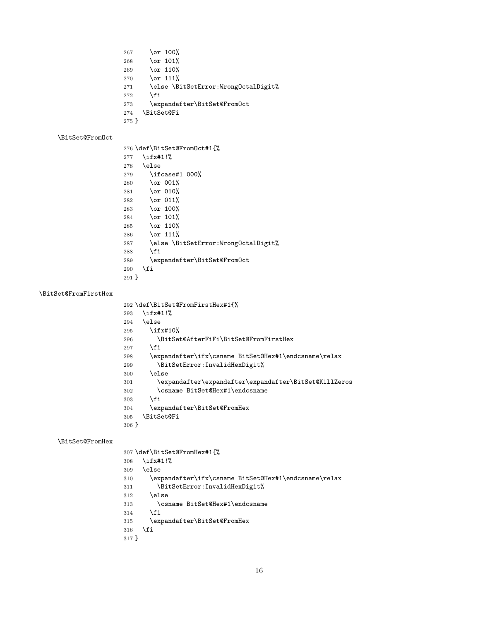<span id="page-15-9"></span>267 \or 100%<br>268 \or 101%  $\or$  101% \or 110% 270  $\or$  111% \else \BitSetError:WrongOctalDigit% \fi<br>273 \exp \expandafter\BitSet@FromOct \BitSet@Fi }

## <span id="page-15-7"></span>\BitSet@FromOct

<span id="page-15-18"></span><span id="page-15-17"></span><span id="page-15-6"></span><span id="page-15-1"></span>

|         | 276 \def\BitSet@FromOct#1{%         |
|---------|-------------------------------------|
| 277     | $\iota$ ifx#1!%                     |
| 278     | \else                               |
| 279     | $\iota$ ifcase#1 000%               |
| 280     | $\or$ 001%                          |
| 281     | \or 010%                            |
| 282     | $\or$ 011%                          |
| 283     | \or 100%                            |
| 284     | $\overline{\ar 101\%}$              |
| 285     | $\sigma$ 110%                       |
| 286     | $\overline{\ar 111}$                |
| 287     | \else \BitSetError:WrongOctalDigit% |
| 288     | \fi                                 |
| 289     | \expandafter\BitSet@FromOct         |
| 290     | \fi                                 |
| $291$ } |                                     |

#### <span id="page-15-3"></span>\BitSet@FromFirstHex

<span id="page-15-20"></span><span id="page-15-19"></span><span id="page-15-13"></span><span id="page-15-11"></span><span id="page-15-10"></span><span id="page-15-0"></span>

|         | 292 \def\BitSet@FromFirstHex#1{%                      |
|---------|-------------------------------------------------------|
| 293     | \ifx#1!%                                              |
| 294     | \else                                                 |
| 295     | $\iota$ ifx#10%                                       |
| 296     | \BitSet@AfterFiFi\BitSet@FromFirstHex                 |
| 297     | \fi                                                   |
| 298     | \expandafter\ifx\csname BitSet@Hex#1\endcsname\relax  |
| 299     | \BitSetError:InvalidHexDigit%                         |
| 300     | \else                                                 |
| 301     | \expandafter\expandafter\expandafter\BitSet@KillZeros |
| 302     | \csname BitSet@Hex#1\endcsname                        |
| 303     | \fi                                                   |
| 304     | \expandafter\BitSet@FromHex                           |
| 305     | \BitSet@Fi                                            |
| $306$ } |                                                       |

#### <span id="page-15-5"></span>\BitSet@FromHex

<span id="page-15-21"></span><span id="page-15-16"></span><span id="page-15-15"></span><span id="page-15-14"></span><span id="page-15-12"></span><span id="page-15-8"></span><span id="page-15-4"></span><span id="page-15-2"></span>

|         | 307 \def\BitSet@FromHex#1{%                          |
|---------|------------------------------------------------------|
| 308     | $\iota$ ifx#1!%                                      |
| 309     | \else                                                |
| 310     | \expandafter\ifx\csname BitSet@Hex#1\endcsname\relax |
| 311     | \BitSetError:InvalidHexDigit%                        |
| 312     | \else                                                |
| 313     | \csname BitSet@Hex#1\endcsname                       |
| 314     | \fi                                                  |
| 315     | \expandafter\BitSet@FromHex                          |
| 316     | \fi                                                  |
| $317$ } |                                                      |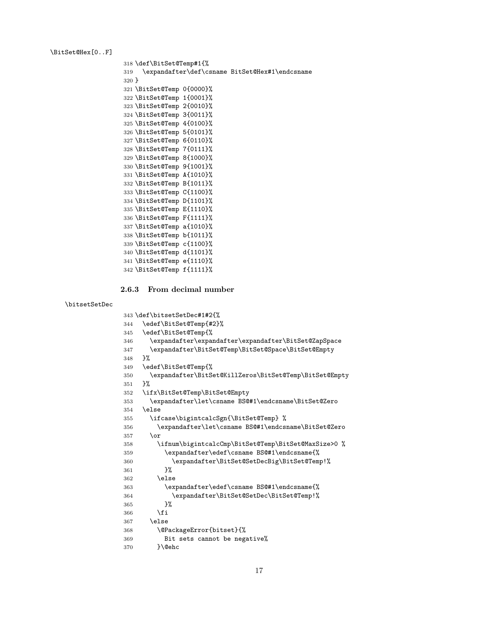<span id="page-16-8"></span>\BitSet@Hex[0..F]

```
318 \def\BitSet@Temp#1{%
319 \expandafter\def\csname BitSet@Hex#1\endcsname
320 }
321 \BitSet@Temp 0{0000}%
322 \BitSet@Temp 1{0001}%
323 \BitSet@Temp 2{0010}%
324 \BitSet@Temp 3{0011}%
325 \BitSet@Temp 4{0100}%
326 \BitSet@Temp 5{0101}%
327 \BitSet@Temp 6{0110}%
328 \BitSet@Temp 7{0111}%
329 \BitSet@Temp 8{1000}%
330 \BitSet@Temp 9{1001}%
331 \BitSet@Temp A{1010}%
332 \BitSet@Temp B{1011}%
333 \BitSet@Temp C{1100}%
334 \BitSet@Temp D{1101}%
335 \BitSet@Temp E{1110}%
336 \BitSet@Temp F{1111}%
337 \BitSet@Temp a{1010}%
338 \BitSet@Temp b{1011}%
339 \BitSet@Temp c{1100}%
340 \BitSet@Temp d{1101}%
341 \BitSet@Temp e{1110}%
342 \BitSet@Temp f{1111}%
```
#### <span id="page-16-33"></span><span id="page-16-32"></span><span id="page-16-31"></span><span id="page-16-30"></span><span id="page-16-29"></span><span id="page-16-28"></span><span id="page-16-27"></span><span id="page-16-26"></span><span id="page-16-25"></span><span id="page-16-24"></span><span id="page-16-23"></span><span id="page-16-0"></span>**2.6.3 From decimal number**

#### <span id="page-16-40"></span>\bitsetSetDec

```
343 \def\bitsetSetDec#1#2{%
344 \edef\BitSet@Temp{#2}%
345 \edef\BitSet@Temp{%
346 \expandafter\expandafter\expandafter\BitSet@ZapSpace
347 \expandafter\BitSet@Temp\BitSet@Space\BitSet@Empty
348 }%
349 \edef\BitSet@Temp{%
350 \expandafter\BitSet@KillZeros\BitSet@Temp\BitSet@Empty
351 }%
352 \ifx\BitSet@Temp\BitSet@Empty
353 \expandafter\let\csname BS@#1\endcsname\BitSet@Zero
354 \else
355 \ifcase\bigintcalcSgn{\BitSet@Temp} %
356 \expandafter\let\csname BS@#1\endcsname\BitSet@Zero
357 \qquad \text{lor}358 \ifnum\bigintcalcCmp\BitSet@Temp\BitSet@MaxSize>0 %
359 \expandafter\edef\csname BS@#1\endcsname{%
360 \expandafter\BitSet@SetDecBig\BitSet@Temp!%
361 }%
362 \else
363 \expandafter\edef\csname BS@#1\endcsname{%
364 \expandafter\BitSet@SetDec\BitSet@Temp!%
365 }%
366 \fi
367 \else
368 \@PackageError{bitset}{%
369 Bit sets cannot be negative%
370 }\@ehc
```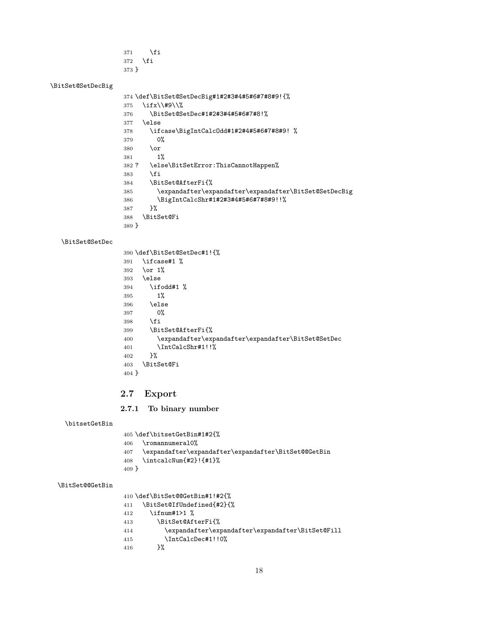- 371  $\setminus$ fi
- \fi }

## <span id="page-17-16"></span>\BitSet@SetDecBig

<span id="page-17-17"></span><span id="page-17-14"></span><span id="page-17-3"></span><span id="page-17-2"></span>

|         | 374 \def\BitSet@SetDecBig#1#2#3#4#5#6#7#8#9!{%        |
|---------|-------------------------------------------------------|
| 375     | \ifx\\#9\\%                                           |
| 376     | \BitSet@SetDec#1#2#3#4#5#6#7#8!%                      |
| 377     | \else                                                 |
| 378     | \ifcase\BigIntCalcOdd#1#2#4#5#6#7#8#9! %              |
| 379     | 0%                                                    |
| 380     | \or                                                   |
| 381     | 1%                                                    |
| 382 ?   | \else\BitSetError:ThisCannotHappen%                   |
| 383     | \fi                                                   |
| 384     | \BitSet@AfterFi{%                                     |
| 385     | \expandafter\expandafter\expandafter\BitSet@SetDecBig |
| 386     | \BigIntCalcShr#1#2#3#4#5#6#7#8#9!!%                   |
| 387     | ጉ%                                                    |
| 388     | \BitSet@Fi                                            |
| $389$ } |                                                       |

#### <span id="page-17-15"></span>\BitSet@SetDec

<span id="page-17-21"></span><span id="page-17-19"></span><span id="page-17-10"></span><span id="page-17-7"></span><span id="page-17-4"></span>

|         | 390 \def\BitSet@SetDec#1!{%                        |
|---------|----------------------------------------------------|
| 391     | \ifcase#1 %                                        |
| 392     | \or $1\%$                                          |
| 393     | \else                                              |
| 394     | \ifodd#1 %                                         |
| 395     | $1\%$                                              |
| 396     | \else                                              |
| 397     | 0%                                                 |
| 398     | \fi                                                |
| 399     | \BitSet@AfterFi{%                                  |
| 400     | \expandafter\expandafter\expandafter\BitSet@SetDec |
| 401     | \IntCalcShr#1!!%                                   |
| 402     | }‰                                                 |
| 403     | \BitSet@Fi                                         |
| $404$ } |                                                    |

## <span id="page-17-24"></span><span id="page-17-11"></span><span id="page-17-8"></span><span id="page-17-0"></span>**2.7 Export**

## <span id="page-17-1"></span>**2.7.1 To binary number**

<span id="page-17-18"></span>\bitsetGetBin

<span id="page-17-25"></span><span id="page-17-23"></span><span id="page-17-5"></span> \def\bitsetGetBin#1#2{% \romannumeral0% 407 \expandafter\expandafter\expandafter\BitSet@GetBin 408 \intcalcNum{#2}!{#1}% \intcalcNum{#2}!{#1}% }

## <span id="page-17-6"></span>\BitSet@@GetBin

\def\BitSet@@GetBin#1!#2{%

- <span id="page-17-20"></span><span id="page-17-13"></span><span id="page-17-9"></span> \BitSet@IfUndefined{#2}{% \ifnum#1>1 % \BitSet@AfterFi{% \expandafter\expandafter\expandafter\BitSet@Fill 415  $\int\IntCalcDec#1!!0\%$ <br>416 }%
- <span id="page-17-22"></span><span id="page-17-12"></span> $416\,$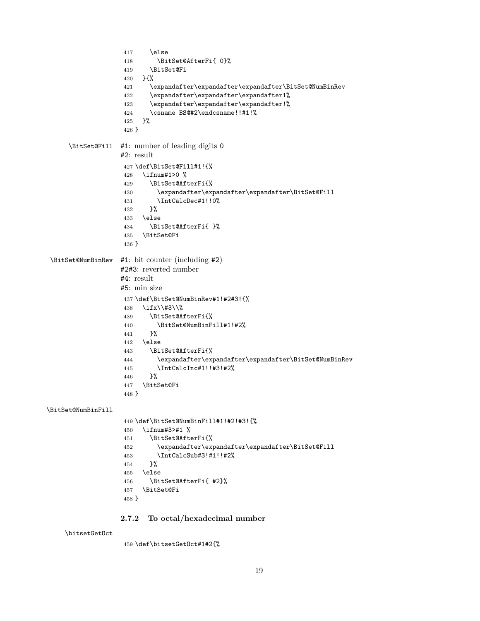```
417 \else
                   418 \BitSet@AfterFi{ 0}%
                   419 \BitSet@Fi
                   420 }{%
                   421 \expandafter\expandafter\expandafter\BitSet@NumBinRev
                   422 \expandafter\expandafter\expandafter1%
                   423 \expandafter\expandafter\expandafter!%
                   424 \csname BS@#2\endcsname!!#1!%
                   425 }%
                   426 }
     \BitSet@Fill #1: number of leading digits 0
                  #2: result
                   427 \def\BitSet@Fill#1!{%
                   428 \ifnum#1>0 %
                   429 \BitSet@AfterFi{%
                   430 \expandafter\expandafter\expandafter\BitSet@Fill
                   431 \IntCalcDec#1!!0%
                   432 }%
                   433 \else
                   434 \BitSet@AfterFi{ }%
                   435 \BitSet@Fi
                   436 }
\BitSet@NumBinRev #1: bit counter (including #2)
                  #2#3: reverted number
                  #4: result
                  #5: min size
                   437 \def\BitSet@NumBinRev#1!#2#3!{%
                   438 \ifx\\#3\\%
                   439 \BitSet@AfterFi{%
                   440 \BitSet@NumBinFill#1!#2%
                   441 }%
                   442 \else
                   443 \BitSet@AfterFi{%
                   444 \expandafter\expandafter\expandafter\BitSet@NumBinRev
                   445 \IntCalcInc#1!!#3!#2%
                   446 }%
                   447 \BitSet@Fi
                   448 }
\BitSet@NumBinFill
                   449 \def\BitSet@NumBinFill#1!#2!#3!{%
                   450 \ifnum#3>#1 %
                   451 \BitSet@AfterFi{%
                   452 \expandafter\expandafter\expandafter\BitSet@Fill
                   453 \IntCalcSub#3!#1!!#2%
                   454 }%
                   455 \else
                   456 \BitSet@AfterFi{ #2}%
                   457 \BitSet@Fi
                   458 }
                  2.7.2 To octal/hexadecimal number
    \bitsetGetOct
                   459 \def\bitsetGetOct#1#2{%
```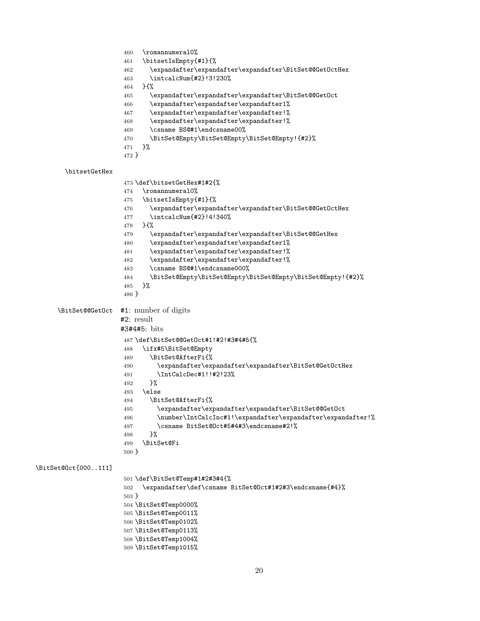```
460 \romannumeral0%
                      461 \bitsetIsEmpty{#1}{%
                      462 \expandafter\expandafter\expandafter\BitSet@@GetOctHex
                      463 \intcalcNum{#2}!3!230%
                      464 }{%
                      465 \expandafter\expandafter\expandafter\BitSet@@GetOct
                      466 \expandafter\expandafter\expandafter1%
                      467 \expandafter\expandafter\expandafter!%
                      468 \expandafter\expandafter\expandafter!%
                      469 \csname BS@#1\endcsname00%
                      470 \BitSet@Empty\BitSet@Empty\BitSet@Empty!{#2}%
                      471 }%
                      472 }
       \bitsetGetHex
                      473 \def\bitsetGetHex#1#2{%
                      474 \romannumeral0%
                      475 \bitsetIsEmpty{#1}{%
                      476 \expandafter\expandafter\expandafter\BitSet@@GetOctHex
                      477 \intcalcNum{#2}!4!340%
                      478 }{%
                      479 \expandafter\expandafter\expandafter\BitSet@@GetHex
                      480 \expandafter\expandafter\expandafter1%
                      481 \expandafter\expandafter\expandafter!%
                      482 \expandafter\expandafter\expandafter!%
                      483 \csname BS@#1\endcsname000%
                      484 \BitSet@Empty\BitSet@Empty\BitSet@Empty\BitSet@Empty!{#2}%
                      485 }%
                      486 }
     \BitSet@@GetOct #1: number of digits
                      #2: result
                      #3#4#5: bits
                      487 \def\BitSet@@GetOct#1!#2!#3#4#5{%
                      488 \ifx#5\BitSet@Empty
                      489 \BitSet@AfterFi{%
                      490 \expandafter\expandafter\expandafter\BitSet@GetOctHex
                      491 \IntCalcDec#1!!#2!23%
                      492 }%
                      493 \else
                      494 \BitSet@AfterFi{%
                      495 \expandafter\expandafter\expandafter\BitSet@@GetOct
                      496 \number\IntCalcInc#1!\expandafter\expandafter\expandafter!%
                      497 \csname BitSet@Oct#5#4#3\endcsname#2!%
                      498 }%
                      499 \BitSet@Fi
                      500 }
\BitSet@Oct[000..111]
                      501 \def\BitSet@Temp#1#2#3#4{%
                      502 \expandafter\def\csname BitSet@Oct#1#2#3\endcsname{#4}%
                      503 }
                      504 \BitSet@Temp0000%
                      505 \BitSet@Temp0011%
                      506 \BitSet@Temp0102%
                      507 \BitSet@Temp0113%
                      508 \BitSet@Temp1004%
                      509 \BitSet@Temp1015%
```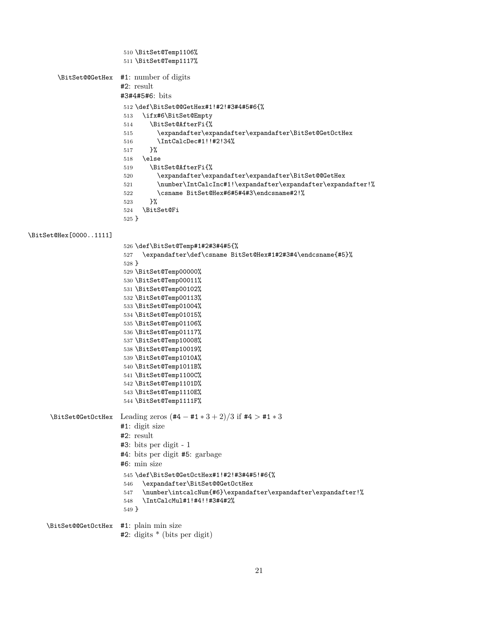```
510 \BitSet@Temp1106%
                          511 \BitSet@Temp1117%
        \BitSet@@GetHex #1: number of digits
                         #2: result
                         #3#4#5#6: bits
                          512 \def\BitSet@@GetHex#1!#2!#3#4#5#6{%
                          513 \ifx#6\BitSet@Empty
                          514 \BitSet@AfterFi{%
                          515 \expandafter\expandafter\expandafter\BitSet@GetOctHex
                          516 \IntCalcDec#1!!#2!34%
                          517 }%
                          518 \else
                          519 \BitSet@AfterFi{%
                          520 \expandafter\expandafter\expandafter\BitSet@@GetHex
                          521 \number\IntCalcInc#1!\expandafter\expandafter\expandafter!%
                          522 \csname BitSet@Hex#6#5#4#3\endcsname#2!%
                          523 }%
                          524 \BitSet@Fi
                          525 }
\BitSet@Hex[0000..1111]
                          526 \def\BitSet@Temp#1#2#3#4#5{%
                          527 \expandafter\def\csname BitSet@Hex#1#2#3#4\endcsname{#5}%
                          528 }
                          529 \BitSet@Temp00000%
                          530 \BitSet@Temp00011%
                          531 \BitSet@Temp00102%
                          532 \BitSet@Temp00113%
                          533 \BitSet@Temp01004%
                          534 \BitSet@Temp01015%
                          535 \BitSet@Temp01106%
                          536 \BitSet@Temp01117%
                          537 \BitSet@Temp10008%
                          538 \BitSet@Temp10019%
                          539 \BitSet@Temp1010A%
                          540 \BitSet@Temp1011B%
                          541 \BitSet@Temp1100C%
                          542 \BitSet@Temp1101D%
                          543 \BitSet@Temp1110E%
                          544 \BitSet@Temp1111F%
     \BitSet@GetOctHex Leading zeros (#4 − #1 ∗ 3 + 2)/3 if #4 > #1 ∗ 3
                         #1: digit size
                         #2: result
                         #3: bits per digit - 1
                         #4: bits per digit #5: garbage
                         #6: min size
                          545 \def\BitSet@GetOctHex#1!#2!#3#4#5!#6{%
                          546 \expandafter\BitSet@@GetOctHex
                          547 \number\intcalcNum{#6}\expandafter\expandafter\expandafter!%
                          548 \IntCalcMul#1!#4!!#3#4#2%
                          549 }
     \BitSet@@GetOctHex #1: plain min size
                         #2: digits * (bits per digit)
```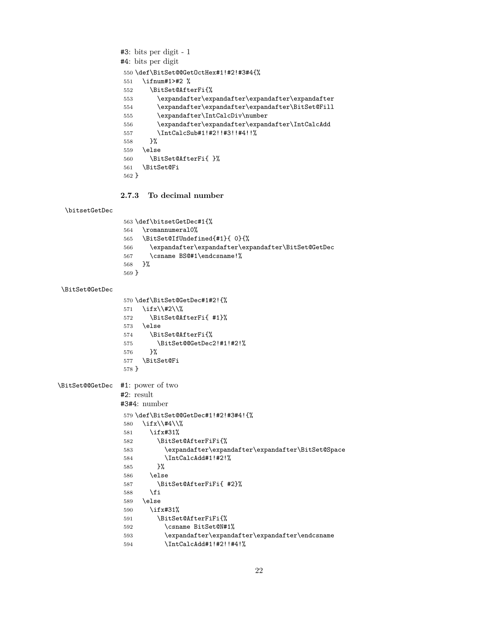```
#3: bits per digit - 1
               #4: bits per digit
                550 \def\BitSet@@GetOctHex#1!#2!#3#4{%
                551 \ifnum#1>#2 %
                552 \BitSet@AfterFi{%
                553 \expandafter\expandafter\expandafter\expandafter
                554 \expandafter\expandafter\expandafter\BitSet@Fill
                555 \expandafter\IntCalcDiv\number
                556 \expandafter\expandafter\expandafter\IntCalcAdd
                557 \IntCalcSub#1!#2!!#3!!#4!!%
                558 }%
                559 \else
                560 \BitSet@AfterFi{ }%
                561 \BitSet@Fi
                562 }
               2.7.3 To decimal number
 \bitsetGetDec
                563 \def\bitsetGetDec#1{%
                564 \romannumeral0%
                565 \BitSet@IfUndefined{#1}{ 0}{%
                566 \expandafter\expandafter\expandafter\BitSet@GetDec
                567 \csname BS@#1\endcsname!%
                568 }%
                569 }
\BitSet@GetDec
                570 \def\BitSet@GetDec#1#2!{%
                571 \ifx\\#2\\%
                572 \BitSet@AfterFi{ #1}%
                573 \else
                574 \BitSet@AfterFi{%
                575 \BitSet@@GetDec2!#1!#2!%
                576 }%
                577 \BitSet@Fi
                578 }
\BitSet@@GetDec #1: power of two
               #2: result
               #3#4: number
                579 \def\BitSet@@GetDec#1!#2!#3#4!{%
                580 \ifx\\#4\\%
                581 \ifx#31%
                582 \BitSet@AfterFiFi{%
                583 \expandafter\expandafter\expandafter\BitSet@Space
                584 \IntCalcAdd#1!#2!%
                585
                586 \else
                587 \BitSet@AfterFiFi{ #2}%
                588 \fi
                589 \else
                590 \ifx#31%
                591 \BitSet@AfterFiFi{%
                592 \csname BitSet@N#1%
                593 \expandafter\expandafter\expandafter\endcsname
                594 \IntCalcAdd#1!#2!!#4!%
```
<span id="page-21-28"></span><span id="page-21-27"></span><span id="page-21-25"></span><span id="page-21-24"></span><span id="page-21-22"></span><span id="page-21-21"></span><span id="page-21-18"></span><span id="page-21-13"></span><span id="page-21-11"></span><span id="page-21-10"></span><span id="page-21-9"></span><span id="page-21-8"></span><span id="page-21-4"></span><span id="page-21-3"></span><span id="page-21-2"></span>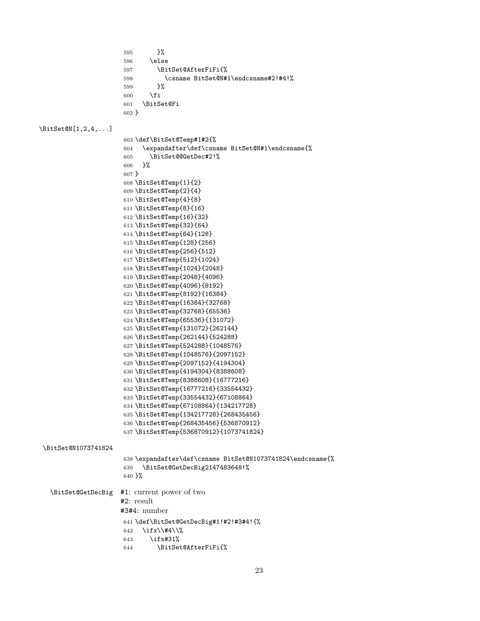<span id="page-22-43"></span><span id="page-22-42"></span><span id="page-22-41"></span><span id="page-22-40"></span><span id="page-22-39"></span><span id="page-22-38"></span><span id="page-22-37"></span><span id="page-22-36"></span><span id="page-22-35"></span><span id="page-22-34"></span><span id="page-22-33"></span><span id="page-22-32"></span><span id="page-22-31"></span><span id="page-22-30"></span><span id="page-22-29"></span><span id="page-22-28"></span><span id="page-22-27"></span><span id="page-22-26"></span><span id="page-22-25"></span><span id="page-22-24"></span><span id="page-22-23"></span><span id="page-22-22"></span><span id="page-22-21"></span><span id="page-22-20"></span><span id="page-22-19"></span><span id="page-22-18"></span><span id="page-22-17"></span><span id="page-22-16"></span><span id="page-22-15"></span><span id="page-22-14"></span><span id="page-22-13"></span><span id="page-22-12"></span><span id="page-22-11"></span><span id="page-22-10"></span><span id="page-22-9"></span><span id="page-22-8"></span><span id="page-22-7"></span><span id="page-22-6"></span><span id="page-22-5"></span><span id="page-22-4"></span><span id="page-22-3"></span><span id="page-22-2"></span><span id="page-22-1"></span><span id="page-22-0"></span>

|                                 | }%<br>595                                                  |
|---------------------------------|------------------------------------------------------------|
|                                 | \else<br>596                                               |
|                                 | \BitSet@AfterFiFi{%<br>597                                 |
|                                 | \csname BitSet@N#1\endcsname#2!#4!%<br>598                 |
|                                 | }%<br>599                                                  |
|                                 | \fi<br>600                                                 |
|                                 | \BitSet@Fi<br>601                                          |
|                                 | $602$ }                                                    |
|                                 |                                                            |
| $\text{BitSet@N}[1,2,4,\ldots]$ |                                                            |
|                                 | 603 \def\BitSet@Temp#1#2{%                                 |
|                                 | \expandafter\def\csname BitSet@N#1\endcsname{%<br>604      |
|                                 | \BitSet@@GetDec#2!%<br>605                                 |
|                                 | }%<br>606                                                  |
|                                 | $607$ }                                                    |
|                                 | 608 \BitSet@Temp{1}{2}                                     |
|                                 | 609 \BitSet@Temp{2}{4}                                     |
|                                 | 610 \BitSet@Temp{4}{8}                                     |
|                                 | 611 \BitSet@Temp{8}{16}                                    |
|                                 | 612 \BitSet@Temp{16}{32}                                   |
|                                 | 613 \BitSet@Temp{32}{64}                                   |
|                                 | 614 \BitSet@Temp{64}{128}                                  |
|                                 | 615 \BitSet@Temp{128}{256}                                 |
|                                 | 616 \BitSet@Temp{256}{512}                                 |
|                                 | 617 \BitSet@Temp{512}{1024}                                |
|                                 | 618 \BitSet@Temp{1024}{2048}                               |
|                                 | 619 \BitSet@Temp{2048}{4096}                               |
|                                 | 620 \BitSet@Temp{4096}{8192}                               |
|                                 | 621 \BitSet@Temp{8192}{16384}                              |
|                                 | 622 \BitSet@Temp{16384}{32768}                             |
|                                 | 623 \BitSet@Temp{32768}{65536}                             |
|                                 | 624 \BitSet@Temp{65536}{131072}                            |
|                                 | 625 \BitSet@Temp{131072}{262144}                           |
|                                 | 626 \BitSet@Temp{262144}{524288}                           |
|                                 | 627 \BitSet@Temp{524288}{1048576}                          |
|                                 | 628 \BitSet@Temp{1048576}{2097152}                         |
|                                 | 629 \BitSet@Temp{2097152}{4194304}                         |
|                                 | 630 \BitSet@Temp{4194304}{8388608}                         |
|                                 | 631 \BitSet@Temp{8388608}{16777216}                        |
|                                 | 632 \BitSet@Temp{16777216}{33554432}                       |
|                                 | 633 \BitSet@Temp{33554432}{67108864}                       |
|                                 | 634 \BitSet@Temp{67108864}{134217728}                      |
|                                 | 635 \BitSet@Temp{134217728}{268435456}                     |
|                                 | 636 \BitSet@Temp{268435456}{536870912}                     |
|                                 | 637 \BitSet@Temp{536870912}{1073741824}                    |
|                                 |                                                            |
| \BitSet@N1073741824             |                                                            |
|                                 | 638 \expandafter\def\csname BitSet@N1073741824\endcsname{% |
|                                 | \BitSet@GetDecBig2147483648!%<br>639                       |
|                                 | 640 }%                                                     |
|                                 |                                                            |
| \BitSet@GetDecBig               | #1: current power of two                                   |
|                                 | #2: result                                                 |
|                                 | $#3#4:$ number                                             |
|                                 |                                                            |
|                                 | 641 \def\BitSet@GetDecBig#1!#2!#3#4!{%                     |
|                                 | \ifx\\#4\\%<br>642                                         |
|                                 | \ifx#31%<br>643                                            |
|                                 | \BitSet@AfterFiFi{%<br>644                                 |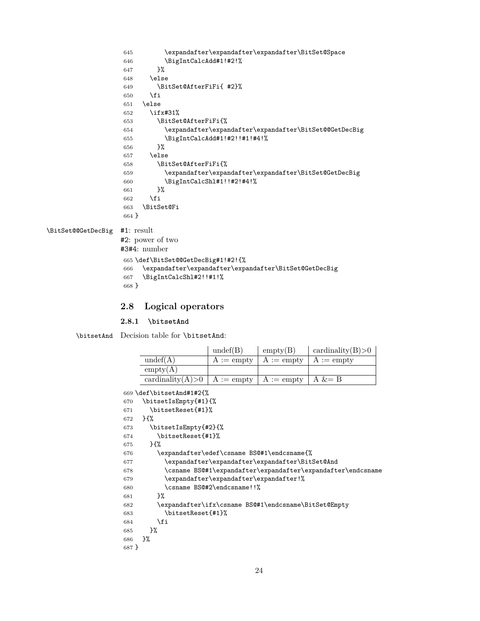```
645 \expandafter\expandafter\expandafter\BitSet@Space
646 \BigIntCalcAdd#1!#2!%<br>647 }%
647648 \else
649 \BitSet@AfterFiFi{ #2}%
650 \overline{f}651 \else
652 \ifx#31%
653 \BitSet@AfterFiFi{%
654 \expandafter\expandafter\expandafter\BitSet@@GetDecBig
655 \BigIntCalcAdd#1!#2!!#1!#4!%<br>656 }%
656657 \else
658 \BitSet@AfterFiFi{%
659 \expandafter\expandafter\expandafter\BitSet@GetDecBig
660 \BigIntCalcShl#1!!#2!#4!%
661 }%
662 \fi
663 \BitSet@Fi
664 }
```
<span id="page-23-7"></span>\BitSet@@GetDecBig #1: result

```
#2: power of two
#3#4: number
665 \def\BitSet@@GetDecBig#1!#2!{%
666 \expandafter\expandafter\expandafter\BitSet@GetDecBig
667 \BigIntCalcShl#2!!#1!%
668 }
```
## <span id="page-23-5"></span><span id="page-23-0"></span>**2.8 Logical operators**

### <span id="page-23-1"></span>**2.8.1 \bitsetAnd**

<span id="page-23-16"></span>\bitsetAnd Decision table for \bitsetAnd:

<span id="page-23-24"></span><span id="page-23-23"></span><span id="page-23-22"></span><span id="page-23-21"></span><span id="page-23-20"></span><span id="page-23-19"></span><span id="page-23-18"></span><span id="page-23-17"></span><span id="page-23-12"></span><span id="page-23-11"></span>

|         |                                                      | undef(B)                   | empty(B)                                        | cardinality $(B) > 0$                                       |
|---------|------------------------------------------------------|----------------------------|-------------------------------------------------|-------------------------------------------------------------|
|         | undef(A)                                             | $A :=$ empty               | $A :=$ empty                                    | $A :=$ empty                                                |
|         | empty(A)                                             |                            |                                                 |                                                             |
|         | cardinality $(A) > 0$                                | $A := \text{empty}$        | $A :=$ empty                                    | $A \&= B$                                                   |
|         | 669 \def\bitsetAnd#1#2{%                             |                            |                                                 |                                                             |
| 670     | \bitsetIsEmpty{#1}{%                                 |                            |                                                 |                                                             |
| 671     | \bitsetReset{#1}%                                    |                            |                                                 |                                                             |
| 672     | $H^{\prime\prime}$                                   |                            |                                                 |                                                             |
| 673     | \bitsetIsEmpty{#2}{%                                 |                            |                                                 |                                                             |
| 674     | \bitsetReset{#1}%                                    |                            |                                                 |                                                             |
| 675     | $H^{\prime}$                                         |                            |                                                 |                                                             |
| 676     | \expandafter\edef\csname BS@#1\endcsname{%           |                            |                                                 |                                                             |
| 677     |                                                      |                            | \expandafter\expandafter\expandafter\BitSet@And |                                                             |
| 678     |                                                      |                            |                                                 | \csname BS@#1\expandafter\expandafter\expandafter\endcsname |
| 679     | \expandafter\expandafter\expandafter!%               |                            |                                                 |                                                             |
| 680     |                                                      | \csname BS@#2\endcsname!!% |                                                 |                                                             |
| 681     | ን%                                                   |                            |                                                 |                                                             |
| 682     | \expandafter\ifx\csname BS@#1\endcsname\BitSet@Empty |                            |                                                 |                                                             |
| 683     | \bitsetReset{#1}%                                    |                            |                                                 |                                                             |
| 684     | \fi                                                  |                            |                                                 |                                                             |
| 685     | }‰                                                   |                            |                                                 |                                                             |
| 686     | }‰                                                   |                            |                                                 |                                                             |
| $687$ } |                                                      |                            |                                                 |                                                             |
|         |                                                      |                            |                                                 |                                                             |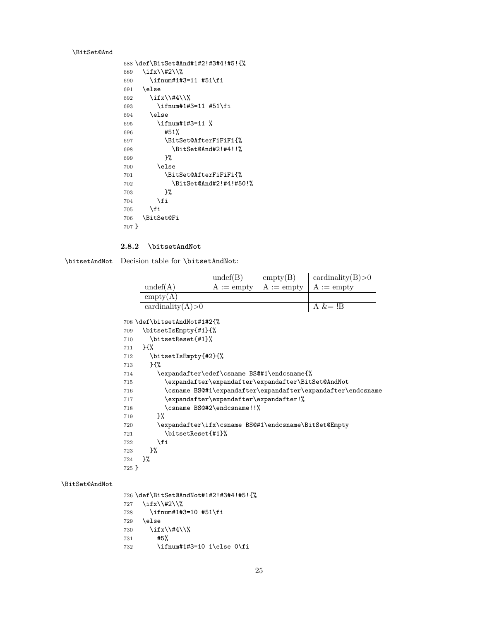#### <span id="page-24-7"></span>\BitSet@And

<span id="page-24-9"></span>\BitSet@AndNot

```
688 \def\BitSet@And#1#2!#3#4!#5!{%
689 \ifx\\#2\\%
690 \ifnum#1#3=11 #51\fi
691 \else
692 \ifx\\#4\\%
693 \ifnum#1#3=11 #51\fi
694 \else
695 \ifnum#1#3=11 %
696 #51%
697 \BitSet@AfterFiFiFi{%
698 \BitSet@And#2!#4!!%
699 }%
700 \else
701 \BitSet@AfterFiFiFi{%
702 \BitSet@And#2!#4!#50!%
703 }%
704 \fi
705 \fi
706 \BitSet@Fi
707 }
```
#### <span id="page-24-11"></span><span id="page-24-6"></span><span id="page-24-0"></span>**2.8.2 \bitsetAndNot**

<span id="page-24-12"></span>\bitsetAndNot Decision table for \bitsetAndNot:

|                       | undef(B)     | empty(B)     | cardinality $(B) > 0$ |
|-----------------------|--------------|--------------|-----------------------|
| undef(A)              | $A :=$ empty | $A :=$ empty | $A :=$ empty          |
| empty(A)              |              |              |                       |
| cardinality $(A) > 0$ |              |              | A $&=$ !B             |

```
708 \def\bitsetAndNot#1#2{%
```

```
709 \bitsetIsEmpty{#1}{%
710 \bitsetReset{#1}%
711 }{%
712 \bitsetIsEmpty{#2}{%
713 }{%
714 \expandafter\edef\csname BS@#1\endcsname{%
715 \expandafter\expandafter\expandafter\BitSet@AndNot
716 \csname BS@#1\expandafter\expandafter\expandafter\endcsname
717 \expandafter\expandafter\expandafter!%
718 \csname BS@#2\endcsname!!%
719 }%
720 \expandafter\ifx\csname BS@#1\endcsname\BitSet@Empty
721 \bitsetReset{#1}%
722 \fi
723 }%
724 }%
725 }
```
<span id="page-24-24"></span><span id="page-24-23"></span><span id="page-24-16"></span><span id="page-24-10"></span><span id="page-24-4"></span><span id="page-24-3"></span> \def\BitSet@AndNot#1#2!#3#4!#5!{% \ifx\\#2\\% \ifnum#1#3=10 #51\fi \else \ifx\\#4\\% #5% \ifnum#1#3=10 1\else 0\fi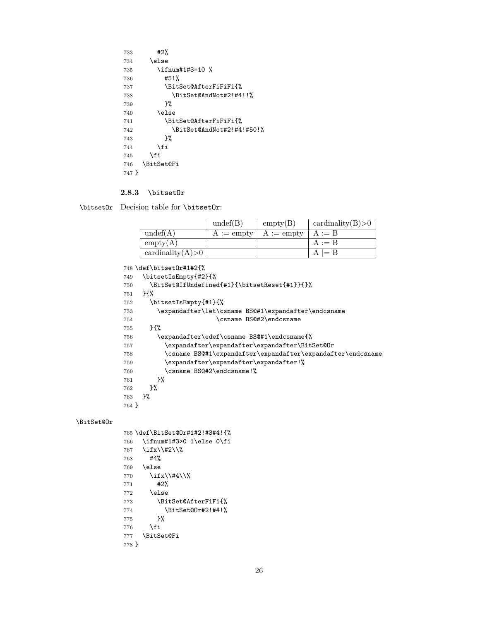<span id="page-25-19"></span><span id="page-25-5"></span><span id="page-25-4"></span>

| 733   | #2%                       |
|-------|---------------------------|
| 734   | \else                     |
| 735   | \ifnum#1#3=10 %           |
| 736   | #51%                      |
| 737   | \BitSet@AfterFiFiFi{%     |
| 738   | \BitSet@AndNot#2!#4!!%    |
| 739   | ን%                        |
| 740   | \else                     |
| 741   | \BitSet@AfterFiFiFi{%     |
| 742   | \BitSet@AndNot#2!#4!#50!% |
| 743   | ጉ%                        |
| 744   | <b>\fi</b>                |
| 745   | <b>\fi</b>                |
| 746   | <b>\BitSet@Fi</b>         |
| 747 } |                           |

#### <span id="page-25-6"></span><span id="page-25-0"></span>**2.8.3 \bitsetOr**

<span id="page-25-13"></span>\bitsetOr Decision table for \bitsetOr:

|                       | undef(B)     | empty(B)     | cardinality $(B) > 0$ |
|-----------------------|--------------|--------------|-----------------------|
| undef(A)              | $A :=$ empty | $A :=$ empty | $A := B$              |
| empty(A)              |              |              | $A := B$              |
| cardinality $(A) > 0$ |              |              | $A \models B$         |

```
748 \def\bitsetOr#1#2{%
749 \bitsetIsEmpty{#2}{%
750 \BitSet@IfUndefined{#1}{\bitsetReset{#1}}{}%
751 }{%
752 \bitsetIsEmpty{#1}{%
753 \expandafter\let\csname BS@#1\expandafter\endcsname
754 \csname BS@#2\endcsname
755 }{%
756 \expandafter\edef\csname BS@#1\endcsname{%
757 \expandafter\expandafter\expandafter\BitSet@Or
758 \csname BS@#1\expandafter\expandafter\expandafter\endcsname
759 \expandafter\expandafter\expandafter!%
760 \csname BS@#2\endcsname!%<br>761 }%
761 \frac{761}{762} }%
762\,763 }%
764 }
```
#### <span id="page-25-10"></span>\BitSet@Or

<span id="page-25-20"></span><span id="page-25-18"></span><span id="page-25-17"></span><span id="page-25-7"></span><span id="page-25-3"></span><span id="page-25-2"></span><span id="page-25-1"></span>

|       | 765 \def\BitSet@Or#1#2!#3#4!{% |
|-------|--------------------------------|
| 766   | \ifnum#1#3>0 1\else O\fi       |
| 767   | \ifx\\#2\\%                    |
| 768   | #4%                            |
| 769   | \else                          |
| 770   | \ifx\\#4\\%                    |
| 771   | #2%                            |
| 772   | \else                          |
| 773   | \BitSet@AfterFiFi{%            |
| 774   | \BitSet@Or#2!#4!%              |
| 775   | ጉ%                             |
| 776   | \fi                            |
| 777   | <b>\BitSet@Fi</b>              |
| 778 F |                                |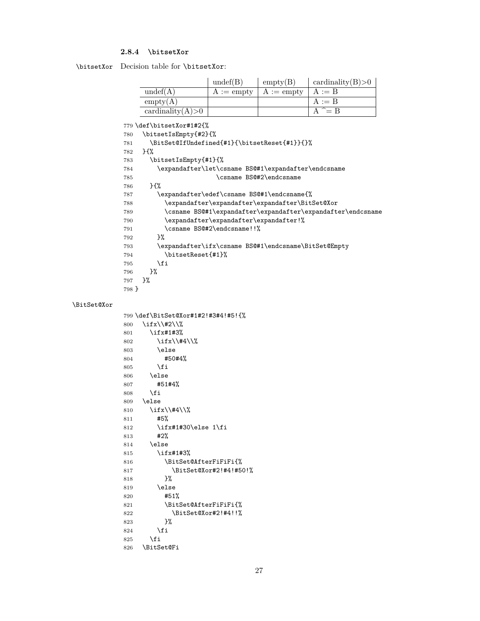## <span id="page-26-0"></span>**2.8.4 \bitsetXor**

<span id="page-26-14"></span>\bitsetXor Decision table for \bitsetXor:

|                       | undef(B)     | empty(B)     | cardinality $(B) > 0$ |
|-----------------------|--------------|--------------|-----------------------|
| undef(A)              | $A :=$ empty | $A :=$ empty | $A := B$              |
| empty(A)              |              |              | $A := B$              |
| cardinality $(A) > 0$ |              |              | $A^{\sim} = B$        |

<span id="page-26-19"></span><span id="page-26-18"></span><span id="page-26-17"></span><span id="page-26-16"></span><span id="page-26-15"></span><span id="page-26-13"></span><span id="page-26-12"></span><span id="page-26-11"></span><span id="page-26-9"></span><span id="page-26-8"></span><span id="page-26-6"></span>\def\bitsetXor#1#2{%

<span id="page-26-22"></span><span id="page-26-21"></span><span id="page-26-20"></span><span id="page-26-10"></span><span id="page-26-7"></span><span id="page-26-5"></span><span id="page-26-4"></span><span id="page-26-3"></span><span id="page-26-2"></span><span id="page-26-1"></span>

|             |       | \bitsetIsEmpty{#2}{%                                        |
|-------------|-------|-------------------------------------------------------------|
|             | 780   | \BitSet@IfUndefined{#1}{\bitsetReset{#1}}{}%                |
|             | 781   | }{%                                                         |
|             | 782   |                                                             |
|             | 783   | \bitsetIsEmpty{#1}{%                                        |
|             | 784   | \expandafter\let\csname BS@#1\expandafter\endcsname         |
|             | 785   | \csname BS@#2\endcsname                                     |
|             | 786   | }{%                                                         |
|             | 787   | \expandafter\edef\csname BS@#1\endcsname{%                  |
|             | 788   | \expandafter\expandafter\expandafter\BitSet@Xor             |
|             | 789   | \csname BS@#1\expandafter\expandafter\expandafter\endcsname |
|             | 790   | \expandafter\expandafter\expandafter!%                      |
|             | 791   | \csname BS@#2\endcsname!!%                                  |
|             | 792   | }‰                                                          |
|             | 793   | \expandafter\ifx\csname BS@#1\endcsname\BitSet@Empty        |
|             | 794   | \bitsetReset{#1}%                                           |
|             | 795   | \fi                                                         |
|             | 796   | }%                                                          |
|             | 797   | }%                                                          |
|             | 798 } |                                                             |
|             |       |                                                             |
| \BitSet@Xor |       |                                                             |
|             |       | 799 \def\BitSet@Xor#1#2!#3#4!#5!{%                          |
|             | 800   | \ifx\\#2\\%                                                 |
|             | 801   | \ifx#1#3%                                                   |
|             | 802   | \ifx\\#4\\%                                                 |
|             | 803   | \else                                                       |
|             | 804   | #50#4%                                                      |
|             | 805   | \fi                                                         |
|             | 806   | \else                                                       |
|             | 807   | #51#4%                                                      |
|             | 808   | \fi                                                         |
|             | 809   | \else                                                       |
|             | 810   | \ifx\\#4\\%                                                 |
|             | 811   | #5%                                                         |
|             | 812   | \ifx#1#30\else 1\fi                                         |
|             | 813   | #2%                                                         |
|             | 814   | \else                                                       |
|             | 815   | \ifx#1#3%                                                   |
|             | 816   | \BitSet@AfterFiFiFi{%                                       |
|             | 817   | \BitSet@Xor#2!#4!#50!%                                      |
|             | 818   | }‰                                                          |
|             | 819   | \else                                                       |
|             | 820   | #51%                                                        |
|             | 821   | \BitSet@AfterFiFiFi{%                                       |
|             | 822   | \BitSet@Xor#2!#4!!%                                         |
|             | 823   | }%                                                          |
|             | 824   | \fi                                                         |
|             | 825   | \fi                                                         |
|             | 826   | \BitSet@Fi                                                  |
|             |       |                                                             |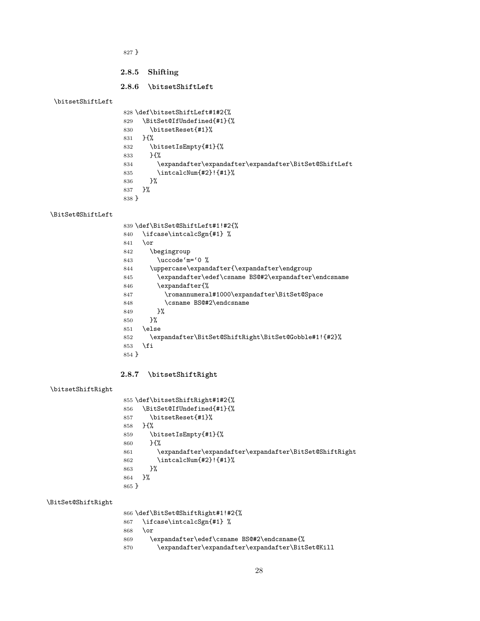}

## <span id="page-27-0"></span>**2.8.5 Shifting**

#### <span id="page-27-1"></span>**2.8.6 \bitsetShiftLeft**

#### <span id="page-27-16"></span>\bitsetShiftLeft

```
828 \def\bitsetShiftLeft#1#2{%
829 \BitSet@IfUndefined{#1}{%
830 \bitsetReset{#1}%
831 }{%
832 \bitsetIsEmpty{#1}{%
833 }{%<br>834 \e
         \verb|\expandafter\expandafter\expandafter\BitSet@ShiftLeft835 \intcalcNum{#2}!{#1}%
836 }%
837 }%
838 }
```
#### <span id="page-27-8"></span>\BitSet@ShiftLeft

<span id="page-27-26"></span><span id="page-27-25"></span><span id="page-27-23"></span><span id="page-27-21"></span><span id="page-27-18"></span><span id="page-27-11"></span>

|         | 839 \def\BitSet@ShiftLeft#1!#2{%                     |
|---------|------------------------------------------------------|
| 840     | \ifcase\intcalcSgn{#1} %                             |
| 841     | \or                                                  |
| 842     | \begingroup                                          |
| 843     | $\uccode{'}m=$ $0$ %                                 |
| 844     | \uppercase\expandafter{\expandafter\endgroup         |
| 845     | \expandafter\edef\csname BS@#2\expandafter\endcsname |
| 846     | \expandafter{%                                       |
| 847     | \romannumeral#1000\expandafter\BitSet@Space          |
| 848     | \csname BS@#2\endcsname                              |
| 849     | ጉ%                                                   |
| 850     | ጉ%                                                   |
| 851     | \else                                                |
| 852     | \expandafter\BitSet@ShiftRight\BitSet@Gobble#1!{#2}% |
| 853     | \fi                                                  |
| $854$ } |                                                      |

## <span id="page-27-19"></span><span id="page-27-3"></span><span id="page-27-2"></span>**2.8.7 \bitsetShiftRight**

## <span id="page-27-17"></span>\bitsetShiftRight

<span id="page-27-15"></span><span id="page-27-13"></span><span id="page-27-9"></span><span id="page-27-5"></span>

| 855 \def\bitsetShiftRight#1#2{%                        |
|--------------------------------------------------------|
| \BitSet@IfUndefined{#1}{%                              |
| \bitsetReset{#1}%                                      |
| ን የአ                                                   |
| \bitsetIsEmpty{#1}{%                                   |
| $H^{\prime\prime}$                                     |
| \expandafter\expandafter\expandafter\BitSet@ShiftRight |
| \intcalcNum{#2}!{#1}%                                  |
| ጉ%                                                     |
| ጉ%                                                     |
| $865$ }                                                |
|                                                        |

## <span id="page-27-10"></span>\BitSet@ShiftRight

<span id="page-27-24"></span><span id="page-27-22"></span><span id="page-27-20"></span><span id="page-27-6"></span>

|     | 866 \def\BitSet@ShiftRight#1!#2{%                |
|-----|--------------------------------------------------|
|     | 867 \ifcase\intcalcSgn{#1} %                     |
| 868 | \or                                              |
| 869 | \expandafter\edef\csname BS@#2\endcsname{%       |
| 870 | \expandafter\expandafter\expandafter\BitSet@Kill |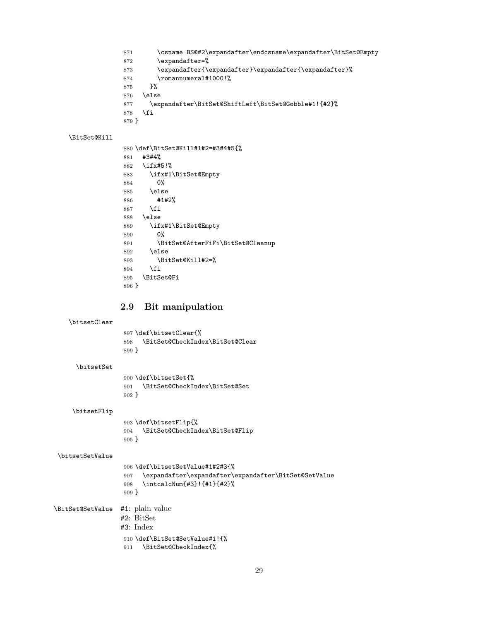- <span id="page-28-6"></span>\csname BS@#2\expandafter\endcsname\expandafter\BitSet@Empty
- 872 \expandafter=%
- \expandafter{\expandafter}\expandafter{\expandafter}%
- <span id="page-28-20"></span>874 \romannumeral#1000!%
- }%
- \else
- <span id="page-28-10"></span>\expandafter\BitSet@ShiftLeft\BitSet@Gobble#1!{#2}%
- \fi
- }

#### <span id="page-28-11"></span>\BitSet@Kill

<span id="page-28-18"></span><span id="page-28-8"></span><span id="page-28-7"></span>

|       | 880 \def\BitSet@Kill#1#2=#3#4#5{% |
|-------|-----------------------------------|
| 881   | #3#4%                             |
| 882   | $\iota$ ifx#5!%                   |
| 883   | \ifx#1\BitSet@Empty               |
| 884   | 0%                                |
| 885   | \else                             |
| 886   | #1#2%                             |
| 887   | \fi                               |
| 888   | \else                             |
| 889   | \ifx#1\BitSet@Empty               |
| 890   | 0%                                |
| 891   | \BitSet@AfterFiFi\BitSet@Cleanup  |
| 892   | \else                             |
| 893   | \BitSet@Kill#2=%                  |
| 894   | \fi                               |
| 895   | <b>\BitSet@Fi</b>                 |
| 896 P |                                   |

## <span id="page-28-9"></span><span id="page-28-1"></span><span id="page-28-0"></span>**2.9 Bit manipulation**

#### <span id="page-28-14"></span>\bitsetClear

<span id="page-28-2"></span> \def\bitsetClear{% \BitSet@CheckIndex\BitSet@Clear }

#### <span id="page-28-16"></span>\bitsetSet

<span id="page-28-3"></span> \def\bitsetSet{% \BitSet@CheckIndex\BitSet@Set }

#### <span id="page-28-15"></span>\bitsetFlip

<span id="page-28-4"></span> \def\bitsetFlip{% \BitSet@CheckIndex\BitSet@Flip }

### <span id="page-28-17"></span>\bitsetSetValue

```
906 \def\bitsetSetValue#1#2#3{%
                   907 \expandafter\expandafter\expandafter\BitSet@SetValue
                   908 \intcalcNum{#3}!{#1}{#2}%
                   909 }
\BitSet@SetValue #1: plain value
                  #2: BitSet
```

```
#3: Index
```

```
910 \def\BitSet@SetValue#1!{%
```

```
911 \BitSet@CheckIndex{%
```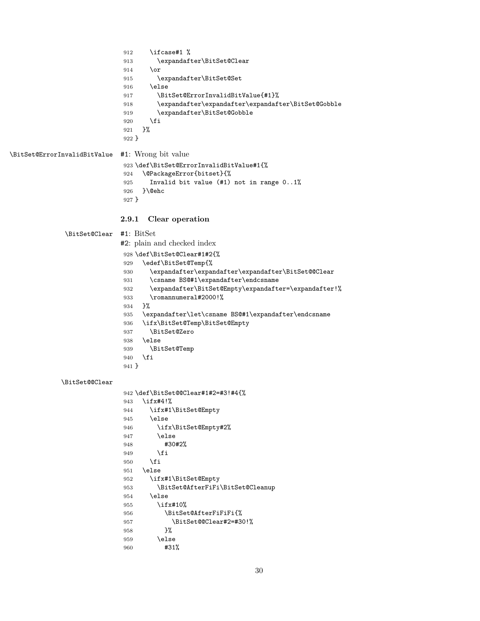```
912 \ifcase#1 %
                            913 \expandafter\BitSet@Clear
                            914 \or
                            915 \expandafter\BitSet@Set
                            916 \else
                            917 \BitSet@ErrorInvalidBitValue{#1}%
                            918 \expandafter\expandafter\expandafter\BitSet@Gobble
                            919 \expandafter\BitSet@Gobble
                            920 \overrightarrow{fi}921 }%
                            922 }
\BitSet@ErrorInvalidBitValue #1: Wrong bit value
                            923 \def\BitSet@ErrorInvalidBitValue#1{%
                            924 \@PackageError{bitset}{%
                            925 Invalid bit value (#1) not in range 0..1%926 }\@ehc
                            927 }
                           2.9.1 Clear operation
             \BitSet@Clear #1: BitSet
                           #2: plain and checked index
                            928 \def\BitSet@Clear#1#2{%
                            929 \edef\BitSet@Temp{%
                            930 \expandafter\expandafter\expandafter\BitSet@@Clear
                            931 \csname BS@#1\expandafter\endcsname
                            932 \expandafter\BitSet@Empty\expandafter=\expandafter!%
                            933 \romannumeral#2000!%
                            934 }%
                            935 \expandafter\let\csname BS@#1\expandafter\endcsname
                            936 \ifx\BitSet@Temp\BitSet@Empty
                            937 \BitSet@Zero
                            938 \else
                            939 \BitSet@Temp
                            940 \fi
                            941 }
            \BitSet@@Clear
                            942 \def\BitSet@@Clear#1#2=#3!#4{%
                            943 \ifx#4!%
                            944 \ifx#1\BitSet@Empty
                            945 \else
                            946 \ifx\BitSet@Empty#2%
                            947 \else
                            948 #30#2%
                            949 \fi
                            950 \fi
                            951 \else
                            952 \ifx#1\BitSet@Empty
                            953 \BitSet@AfterFiFi\BitSet@Cleanup
                            954 \else
                            955 \ifx#10%
                            956 \BitSet@AfterFiFiFi{%
                            957 \BitSet@@Clear#2=#30!%
                            958 }%
                            959 \else
                            960 #31%
```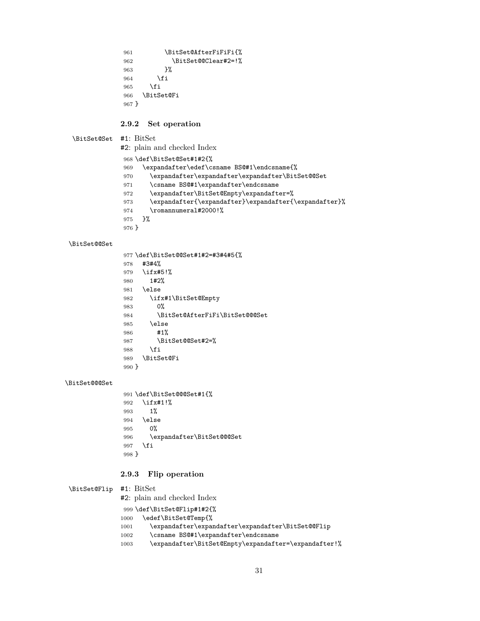<span id="page-30-7"></span>961 \BitSet@AfterFiFiFi{% \BitSet@@Clear#2=!% }% 964 \fi \fi \BitSet@Fi }

#### <span id="page-30-11"></span><span id="page-30-0"></span>**2.9.2 Set operation**

<span id="page-30-14"></span>\BitSet@Set #1: BitSet

#2: plain and checked Index

\def\BitSet@Set#1#2{%

<span id="page-30-16"></span>\expandafter\edef\csname BS@#1\endcsname{%

- <span id="page-30-5"></span>\expandafter\expandafter\expandafter\BitSet@@Set
- <span id="page-30-17"></span>971 \csname BS@#1\expandafter\endcsname<br>972 \expandafter\BitSet@Empty\expandafter\BitSet@Empty\expandafter\BitSet@Empty\expandafter\BitSet@Empty\expandafter\BitSet@Empty\expandafter\BitSet@Empty\expandafter\BitSet@Empty\ex
- <span id="page-30-8"></span>\expandafter\BitSet@Empty\expandafter=%
- \expandafter{\expandafter}\expandafter{\expandafter}%
- <span id="page-30-21"></span>974 \romannumeral#2000!%
- }%

## }

#### <span id="page-30-6"></span>\BitSet@@Set

<span id="page-30-19"></span><span id="page-30-9"></span><span id="page-30-2"></span>

|       | 977 \def\BitSet@@Set#1#2=#3#4#5{% |
|-------|-----------------------------------|
| 978   | #3#4%                             |
| 979   | $\iota$ ifx#5!%                   |
| 980   | 1#2%                              |
| 981   | \else                             |
| 982   | \ifx#1\BitSet@Empty               |
| 983   | 0%                                |
| 984   | \BitSet@AfterFiFi\BitSet@@@Set    |
| 985   | \else                             |
| 986   | #1%                               |
| 987   | \BitSet@@Set#2=%                  |
| 988   | \fi                               |
| 989   | <b>\BitSet@Fi</b>                 |
| 990 } |                                   |

#### <span id="page-30-3"></span>\BitSet@@@Set

<span id="page-30-20"></span><span id="page-30-12"></span> \def\BitSet@@@Set#1{% \ifx#1!% 1% \else 0% \expandafter\BitSet@@@Set \fi }

## <span id="page-30-1"></span>**2.9.3 Flip operation**

<span id="page-30-13"></span>\BitSet@Flip #1: BitSet

#2: plain and checked Index

```
999 \def\BitSet@Flip#1#2{%
1000 \edef\BitSet@Temp{%
1001 \expandafter\expandafter\expandafter\BitSet@@Flip
1002 \csname BS@#1\expandafter\endcsname
```
- <span id="page-30-18"></span><span id="page-30-4"></span>
- <span id="page-30-10"></span>\expandafter\BitSet@Empty\expandafter=\expandafter!%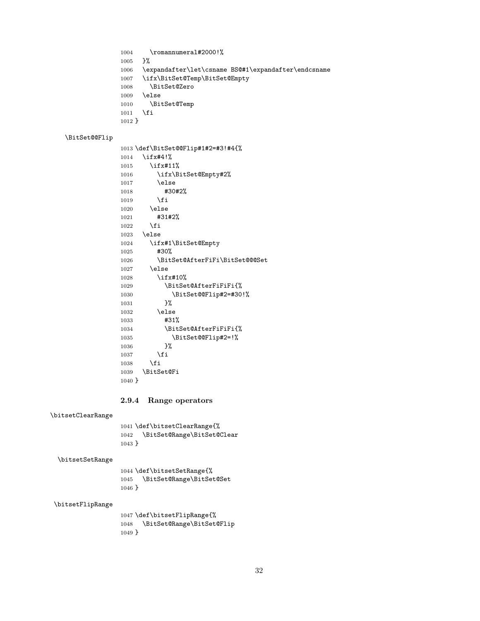<span id="page-31-21"></span><span id="page-31-17"></span><span id="page-31-13"></span><span id="page-31-6"></span>1004 \romannumeral#2000!% }% \expandafter\let\csname BS@#1\expandafter\endcsname \ifx\BitSet@Temp\BitSet@Empty \BitSet@Zero 1009 \else<br>1010 \Bit \BitSet@Temp 1011 \fi }

## <span id="page-31-2"></span>\BitSet@@Flip

<span id="page-31-19"></span><span id="page-31-18"></span><span id="page-31-12"></span><span id="page-31-8"></span><span id="page-31-7"></span><span id="page-31-1"></span>

|          | 1013 \def\BitSet@@Flip#1#2=#3!#4{% |
|----------|------------------------------------|
| 1014     | $\iota$ ifx#4!%                    |
| 1015     | $\iota$ ifx#11%                    |
| 1016     | \ifx\BitSet@Empty#2%               |
| 1017     | \else                              |
| 1018     | #30#2%                             |
| 1019     | \fi                                |
| 1020     | \else                              |
| 1021     | #31#2%                             |
| 1022     | \fi                                |
| 1023     | \else                              |
| 1024     | \ifx#1\BitSet@Empty                |
| 1025     | #30%                               |
| 1026     | \BitSet@AfterFiFi\BitSet@@@Set     |
| 1027     | \else                              |
| 1028     | $\iota$ ifx#10%                    |
| 1029     | \BitSet@AfterFiFiFi{%              |
| 1030     | \BitSet@@Flip#2=#30!%              |
| 1031     | 3%                                 |
| 1032     | \else                              |
| 1033     | #31%                               |
| 1034     | \BitSet@AfterFiFiFi{%              |
| 1035     | \BitSet@@Flip#2=!%                 |
| 1036     | ጉ%                                 |
| 1037     | <b>\fi</b>                         |
| 1038     | \fi                                |
| 1039     | \BitSet@Fi                         |
| $1040$ } |                                    |

## <span id="page-31-20"></span><span id="page-31-9"></span><span id="page-31-4"></span><span id="page-31-3"></span><span id="page-31-0"></span>**2.9.4 Range operators**

#### <span id="page-31-14"></span>\bitsetClearRange

<span id="page-31-5"></span> \def\bitsetClearRange{% \BitSet@Range\BitSet@Clear }

#### <span id="page-31-16"></span>\bitsetSetRange

<span id="page-31-11"></span> \def\bitsetSetRange{% \BitSet@Range\BitSet@Set  $\}$ 

#### <span id="page-31-15"></span>\bitsetFlipRange

<span id="page-31-10"></span> \def\bitsetFlipRange{% \BitSet@Range\BitSet@Flip }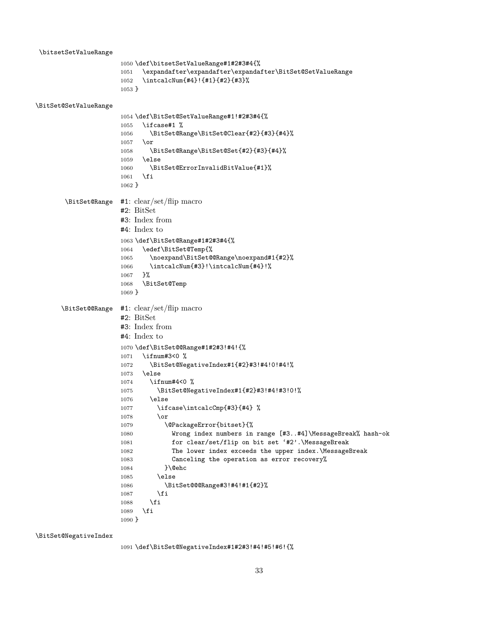<span id="page-32-22"></span><span id="page-32-21"></span><span id="page-32-17"></span><span id="page-32-16"></span><span id="page-32-15"></span><span id="page-32-14"></span><span id="page-32-13"></span><span id="page-32-12"></span><span id="page-32-11"></span><span id="page-32-10"></span><span id="page-32-6"></span><span id="page-32-5"></span><span id="page-32-3"></span>\bitsetSetValueRange \def\bitsetSetValueRange#1#2#3#4{% \expandafter\expandafter\expandafter\BitSet@SetValueRange \intcalcNum{#4}!{#1}{#2}{#3}% } \BitSet@SetValueRange \def\BitSet@SetValueRange#1!#2#3#4{% \ifcase#1 % \BitSet@Range\BitSet@Clear{#2}{#3}{#4}% \or \BitSet@Range\BitSet@Set{#2}{#3}{#4}% \else \BitSet@ErrorInvalidBitValue{#1}% \fi } \BitSet@Range #1: clear/set/flip macro #2: BitSet #3: Index from #4: Index to \def\BitSet@Range#1#2#3#4{% \edef\BitSet@Temp{% \noexpand\BitSet@@Range\noexpand#1{#2}% 1066 \intcalcNum{#3}!\intcalcNum{#4}!% }% \BitSet@Temp } \BitSet@@Range #1: clear/set/flip macro #2: BitSet #3: Index from #4: Index to \def\BitSet@@Range#1#2#3!#4!{% \ifnum#3<0 % \BitSet@NegativeIndex#1{#2}#3!#4!0!#4!% \else \ifnum#4<0 % \BitSet@NegativeIndex#1{#2}#3!#4!#3!0!% \else 1077 \ifcase\intcalcCmp{#3}{#4} % 1078 \or 1079 \@PackageError{bitset}{% Wrong index numbers in range [#3..#4]\MessageBreak% hash-ok 1081 for clear/set/flip on bit set '#2'.\MessageBreak The lower index exceeds the upper index.\MessageBreak Canceling the operation as error recovery% 1084 }\@ehc \else \BitSet@@@Range#3!#4!#1{#2}% \fi 1088 \fi \fi }

<span id="page-32-9"></span><span id="page-32-4"></span>\BitSet@NegativeIndex

<span id="page-32-25"></span><span id="page-32-24"></span><span id="page-32-23"></span><span id="page-32-20"></span><span id="page-32-19"></span><span id="page-32-18"></span><span id="page-32-8"></span><span id="page-32-7"></span><span id="page-32-2"></span><span id="page-32-1"></span><span id="page-32-0"></span>\def\BitSet@NegativeIndex#1#2#3!#4!#5!#6!{%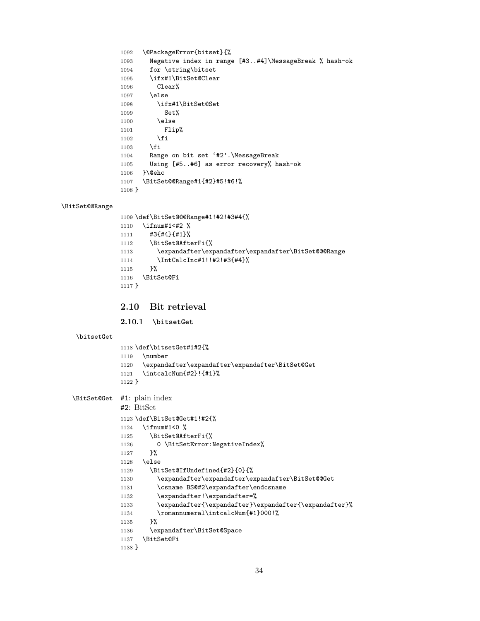```
1092 \@PackageError{bitset}{%
1093 Negative index in range [#3..#4]\MessageBreak % hash-ok
1094 for \string\bitset
1095 \ifx#1\BitSet@Clear
1096 Clear%
1097 \else
1098 \ifx#1\BitSet@Set
1099 Set%
1100 \else
1101 Flip%
1102 \qquad \qquad \fi
1103 \fi
1104 Range on bit set '#2'.\MessageBreak
1105 Using [#5..#6] as error recovery% hash-ok
1106 }\@ehc
1107 \BitSet@@Range#1{#2}#5!#6!%
1108 }
```
#### <span id="page-33-9"></span>\BitSet@@Range

<span id="page-33-29"></span><span id="page-33-23"></span><span id="page-33-10"></span><span id="page-33-8"></span><span id="page-33-5"></span><span id="page-33-3"></span> \def\BitSet@@@Range#1!#2!#3#4{% \ifnum#1<#2 % #3{#4}{#1}% \BitSet@AfterFi{% \expandafter\expandafter\expandafter\BitSet@@@Range \IntCalcInc#1!!#2!#3{#4}%

- <span id="page-33-25"></span><span id="page-33-13"></span><span id="page-33-6"></span> }% \BitSet@Fi
- }

## <span id="page-33-0"></span>**2.10 Bit retrieval**

<span id="page-33-1"></span>**2.10.1 \bitsetGet**

#### <span id="page-33-21"></span>\bitsetGet

<span id="page-33-30"></span><span id="page-33-26"></span><span id="page-33-15"></span> \def\bitsetGet#1#2{% \number \expandafter\expandafter\expandafter\BitSet@Get \intcalcNum{#2}!{#1}% }

```
\BitSet@Get #1: plain index
```

```
#2: BitSet
```

```
1123 \def\BitSet@Get#1!#2{%
1124 \ifnum#1<0 %
1125 \BitSet@AfterFi{%
1126 0 \BitSetError:NegativeIndex%
1127 }%
1128 \else
1129 \BitSet@IfUndefined{#2}{0}{%
1130 \expandafter\expandafter\expandafter\BitSet@@Get
1131 \csname BS@#2\expandafter\endcsname
1132 \expandafter!\expandafter=%
1133 \expandafter{\expandafter}\expandafter{\expandafter}%
1134 \romannumeral\intcalcNum{#1}000!%
1135 }%
1136 \expandafter\BitSet@Space
1137 \BitSet@Fi
1138 }
```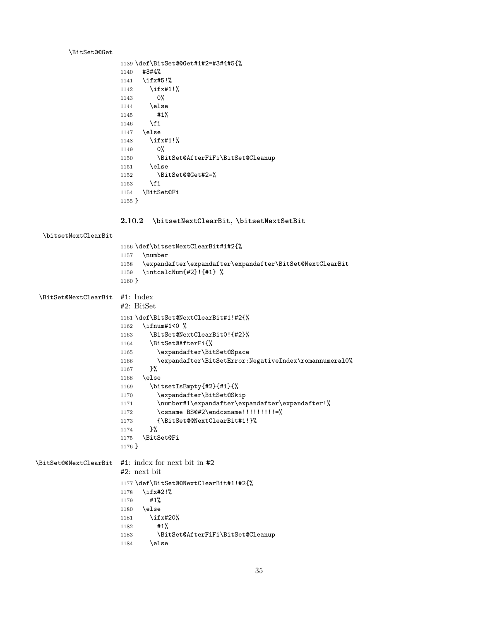## <span id="page-34-1"></span>\BitSet@@Get

<span id="page-34-20"></span><span id="page-34-19"></span><span id="page-34-18"></span>

|          | 1139 \def\BitSet@@Get#1#2=#3#4#5{% |
|----------|------------------------------------|
| 1140     | #3#4%                              |
|          | 1141 \ifx#5!%                      |
|          | $1142$ \ifx#1!%                    |
| 1143     | 0%                                 |
| 1144     | <b>\else</b>                       |
| 1145     | #1%                                |
| 1146     | \fi                                |
|          | 1147 \else                         |
| 1148     | \ifx#1! $%$                        |
| 1149     | 0%                                 |
| 1150     | \BitSet@AfterFiFi\BitSet@Cleanup   |
| 1151     | \else                              |
| 1152     | \BitSet@@Get#2=%                   |
| 1153     | \fi                                |
| 1154     | \BitSet@Fi                         |
| $1155$ } |                                    |

## <span id="page-34-7"></span><span id="page-34-5"></span><span id="page-34-0"></span>**2.10.2 \bitsetNextClearBit, \bitsetNextSetBit**

## <span id="page-34-15"></span>\bitsetNextClearBit

<span id="page-34-24"></span><span id="page-34-23"></span><span id="page-34-17"></span><span id="page-34-9"></span><span id="page-34-4"></span>

| 1156 \def\bitsetNextClearBit#1#2{%                            |  |
|---------------------------------------------------------------|--|
| \number<br>1157                                               |  |
| 1158 \expandafter\expandafter\expandafter\BitSet@NextClearBit |  |
| \intcalcNum{#2}!{#1} %<br>1159                                |  |
| $1160$ }                                                      |  |

<span id="page-34-25"></span><span id="page-34-22"></span><span id="page-34-21"></span><span id="page-34-16"></span><span id="page-34-14"></span><span id="page-34-13"></span><span id="page-34-12"></span><span id="page-34-11"></span><span id="page-34-10"></span><span id="page-34-8"></span><span id="page-34-6"></span><span id="page-34-3"></span><span id="page-34-2"></span>

| \BitSet@NextClearBit | #1: Index                                                                                                                                                                                                                                                                                                                                                                                                                                                                                                                                                               |
|----------------------|-------------------------------------------------------------------------------------------------------------------------------------------------------------------------------------------------------------------------------------------------------------------------------------------------------------------------------------------------------------------------------------------------------------------------------------------------------------------------------------------------------------------------------------------------------------------------|
|                      | $#2: \text{BitSet}$<br>1161 \def\BitSet@NextClearBit#1!#2{%<br>\ifnum#1<0 $\%$<br>1162<br>\BitSet@NextClearBit0!{#2}%<br>1163<br>\BitSet@AfterFi{%<br>1164<br>\expandafter\BitSet@Space<br>1165<br>\expandafter\BitSetError:NegativeIndex\romannumeral0%<br>1166<br>ን%<br>1167<br>\else<br>1168<br>\bitsetIsEmpty{#2}{#1}{%<br>1169<br>\expandafter\BitSet@Skip<br>1170<br>\number#1\expandafter\expandafter\expandafter!%<br>1171<br>\csname BS@#2\endcsname!!!!!!!!!=%<br>1172<br>{\BitSet@@NextClearBit#1!}%<br>1173<br>}‰<br>1174<br>\BitSet@Fi<br>1175<br>$1176$ } |
|                      | \BitSet@@NextClearBit #1: index for next bit in #2<br>$#2:$ next bit<br>1177 \def\BitSet@@NextClearBit#1!#2{%<br>$\iota$ ifx#2!%<br>1178<br>#1%<br>1179<br>\else<br>1180<br>\ifx#20%<br>1181<br>#1%<br>1182<br>\BitSet@AfterFiFi\BitSet@Cleanup<br>1183<br>\else<br>1184                                                                                                                                                                                                                                                                                                |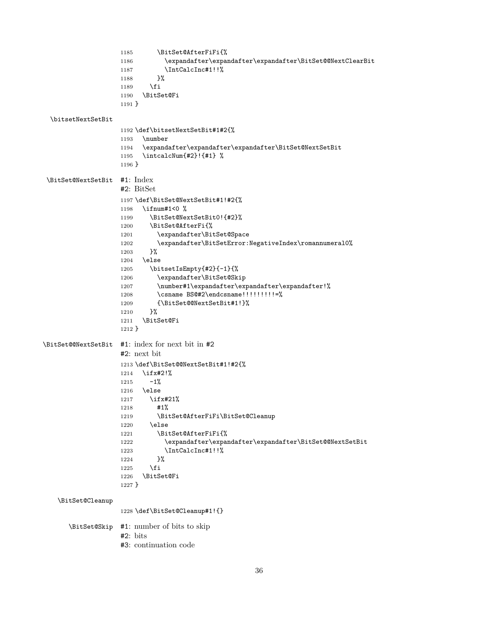```
1185 \BitSet@AfterFiFi{%
                   1186 \expandafter\expandafter\expandafter\BitSet@@NextClearBit
                   1187 \IntCalcInc#1!!%
                   1188 }%
                   1189 \fi
                   1190 \BitSet@Fi
                   1191 }
 \bitsetNextSetBit
                   1192 \def\bitsetNextSetBit#1#2{%
                   1193 \number
                   1194 \expandafter\expandafter\expandafter\BitSet@NextSetBit
                   1195 \intcalcNum{#2}!{#1} %
                   1196 }
\BitSet@NextSetBit #1: Index
                   #2: BitSet
                   1197 \def\BitSet@NextSetBit#1!#2{%
                   1198 \ifnum#1<0 %
                   1199 \BitSet@NextSetBit0!{#2}%
                   1200 \BitSet@AfterFi{%
                   1201 \expandafter\BitSet@Space
                   1202 \expandafter\BitSetError:NegativeIndex\romannumeral0%
                   1203 }%
                   1204 \else
                   1205 \bitsetIsEmpty{#2}{-1}{%
                   1206 \expandafter\BitSet@Skip
                   1207 \number#1\expandafter\expandafter\expandafter!%
                   1208 \csname BS@#2\endcsname!!!!!!!!!!=%
                   1209 {\BitSet@@NextSetBit#1!}%
                   1210 \frac{1}{6}1211 \BitSet@Fi
                   1212 }
\BitSet@@NextSetBit #1: index for next bit in #2
                   #2: next bit
                   1213 \def\BitSet@@NextSetBit#1!#2{%
                   1214 \ifx#2!%
                   1215 -1%1216 \else
                   1217 \ifx#21%
                   1218 #1%
                   1219 \BitSet@AfterFiFi\BitSet@Cleanup
                   1220 \else
                   1221 \BitSet@AfterFiFi{%
                   1222 \expandafter\expandafter\expandafter\BitSet@@NextSetBit
                   1223 \IntCalcInc#1!!%
                   1224 }%
                   1225 \fi
                   1226 \BitSet@Fi
                   1227 }
   \BitSet@Cleanup
                   1228 \def\BitSet@Cleanup#1!{}
      \BitSet@Skip #1: number of bits to skip
                   #2: bits
                   #3: continuation code
```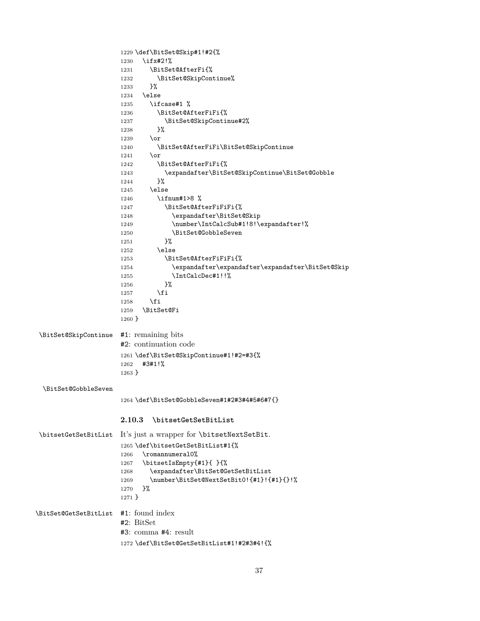<span id="page-36-24"></span><span id="page-36-23"></span><span id="page-36-22"></span><span id="page-36-21"></span><span id="page-36-20"></span><span id="page-36-19"></span><span id="page-36-18"></span><span id="page-36-17"></span><span id="page-36-16"></span><span id="page-36-15"></span><span id="page-36-14"></span><span id="page-36-13"></span><span id="page-36-12"></span><span id="page-36-11"></span><span id="page-36-10"></span><span id="page-36-9"></span><span id="page-36-8"></span><span id="page-36-7"></span><span id="page-36-6"></span><span id="page-36-5"></span><span id="page-36-4"></span><span id="page-36-3"></span><span id="page-36-2"></span><span id="page-36-1"></span><span id="page-36-0"></span>

|                       | 1229 \def\BitSet@Skip#1!#2{%                             |
|-----------------------|----------------------------------------------------------|
|                       | \ifx#2!%<br>1230                                         |
|                       | \BitSet@AfterFi{%<br>1231                                |
|                       | \BitSet@SkipContinue%<br>1232                            |
|                       | }‰<br>1233                                               |
|                       | \else<br>1234                                            |
|                       | \ifcase#1 %<br>1235                                      |
|                       | \BitSet@AfterFiFi{%<br>1236                              |
|                       | \BitSet@SkipContinue#2%<br>1237                          |
|                       | }%<br>1238                                               |
|                       | $\sigma$<br>1239                                         |
|                       | \BitSet@AfterFiFi\BitSet@SkipContinue<br>1240            |
|                       | $\chi$<br>1241                                           |
|                       | \BitSet@AfterFiFi{%<br>1242                              |
|                       | \expandafter\BitSet@SkipContinue\BitSet@Gobble<br>1243   |
|                       | }%<br>1244                                               |
|                       | \else<br>1245                                            |
|                       | \ifnum#1>8 %<br>1246                                     |
|                       | \BitSet@AfterFiFiFi{%<br>1247                            |
|                       | \expandafter\BitSet@Skip<br>1248                         |
|                       | \number\IntCalcSub#1!8!\expandafter!%<br>1249            |
|                       | \BitSet@GobbleSeven<br>1250                              |
|                       | }‰<br>1251                                               |
|                       | \else<br>1252                                            |
|                       | \BitSet@AfterFiFiFi{%<br>1253                            |
|                       | \expandafter\expandafter\expandafter\BitSet@Skip<br>1254 |
|                       | \IntCalcDec#1!!%<br>1255                                 |
|                       | }%<br>1256                                               |
|                       | \fi<br>1257                                              |
|                       | \fi<br>1258                                              |
|                       | \BitSet@Fi<br>1259                                       |
|                       | $1260$ }                                                 |
| \BitSet@SkipContinue  | #1: remaining bits                                       |
|                       | #2: continuation code                                    |
|                       |                                                          |
|                       | 1261 \def\BitSet@SkipContinue#1!#2=#3{%<br>#3#1!%        |
|                       | 1262<br>$1263$ }                                         |
|                       |                                                          |
| \BitSet@GobbleSeven   |                                                          |
|                       | 1264 \def\BitSet@GobbleSeven#1#2#3#4#5#6#7{}             |
|                       | 2.10.3<br>\bitsetGetSetBitList                           |
|                       |                                                          |
| \bitsetGetSetBitList  | It's just a wrapper for \bitsetNextSetBit.               |
|                       | 1265 \def\bitsetGetSetBitList#1{%                        |
|                       | \romannumeral0%<br>1266                                  |
|                       | \bitsetIsEmpty{#1}{ }{%<br>1267                          |
|                       | \expandafter\BitSet@GetSetBitList<br>1268                |
|                       | \number\BitSet@NextSetBit0!{#1}!{#1}{}!%<br>1269         |
|                       | }‰<br>1270                                               |
|                       | $1271$ }                                                 |
| \BitSet@GetSetBitList | $#1:$ found index                                        |
|                       | #2: BitSet                                               |
|                       | $#3:$ comma $#4:$ result                                 |
|                       |                                                          |
|                       | 1272 \def\BitSet@GetSetBitList#1!#2#3#4!{%               |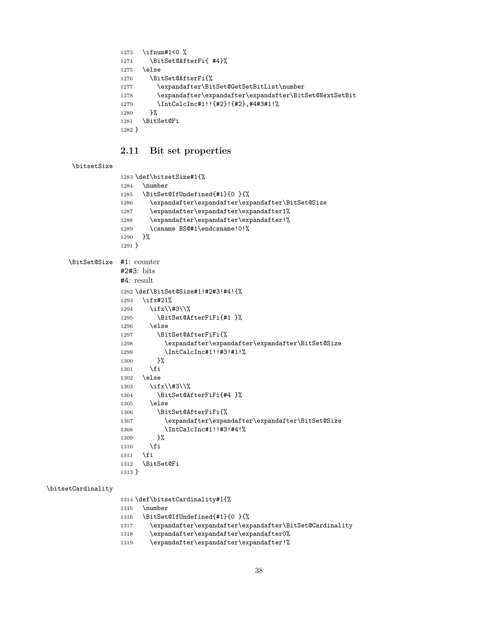```
1273 \ifnum#1<0 %
1274 \BitSet@AfterFi{ #4}%
1275 \else
1276 \BitSet@AfterFi{%
1277 \expandafter\BitSet@GetSetBitList\number
1278 \expandafter\expandafter\expandafter\BitSet@NextSetBit
1279 \IntCalcInc#1!!{#2}!{#2},#4#3#1!%
1280 }%
1281 \BitSet@Fi
1282 }
```
## <span id="page-37-26"></span><span id="page-37-22"></span><span id="page-37-15"></span><span id="page-37-12"></span><span id="page-37-10"></span><span id="page-37-0"></span>**2.11 Bit set properties**

#### <span id="page-37-18"></span>\bitsetSize

```
1283 \def\bitsetSize#1{%
             1284 \number
             1285 \BitSet@IfUndefined{#1}{0 }{%
             1286 \expandafter\expandafter\expandafter\BitSet@Size
             1287 \expandafter\expandafter\expandafter1%
             1288 \expandafter\expandafter\expandafter!%
             1289 \csname BS@#1\endcsname!0!%
             1290 }%
            1291 }
\BitSet@Size #1: counter
            #2#3: bits
             #4: result
             1292 \def\BitSet@Size#1!#2#3!#4!{%
             1293 \ifx#21%
             1294 \ifx\\#3\\%
             1295 \BitSet@AfterFiFi{#1 }%
             1296 \lambdaelse
             1297 \BitSet@AfterFiFi{%
             1298 \expandafter\expandafter\expandafter\EitSet@Size
             1299 \IntCalcInc#1!!#3!#1!%
             1300 }%
             1301 \qquad \text{If }i
             1302 \else
             1303 \ifx\\#3\\%
             1304 \BitSet@AfterFiFi{#4 }%
             1305 \else
             1306 \BitSet@AfterFiFi{%
             1307 \expandafter\expandafter\expandafter\BitSet@Size
             1308 \IntCalcInc#1!!#3!#4!%
             1309 }%
             1310 \fi
             1311 \fi
             1312 \BitSet@Fi
             1313 }
```
#### <span id="page-37-17"></span>\bitsetCardinality

<span id="page-37-24"></span><span id="page-37-23"></span><span id="page-37-11"></span><span id="page-37-8"></span><span id="page-37-7"></span><span id="page-37-6"></span><span id="page-37-2"></span>\def\bitsetCardinality#1{%

<span id="page-37-27"></span>\number

- <span id="page-37-13"></span>\BitSet@IfUndefined{#1}{0 }{%
- <span id="page-37-9"></span>\expandafter\expandafter\expandafter\BitSet@Cardinality
- 1318 \expandafter\expandafter\expandafter0%
- \expandafter\expandafter\expandafter!%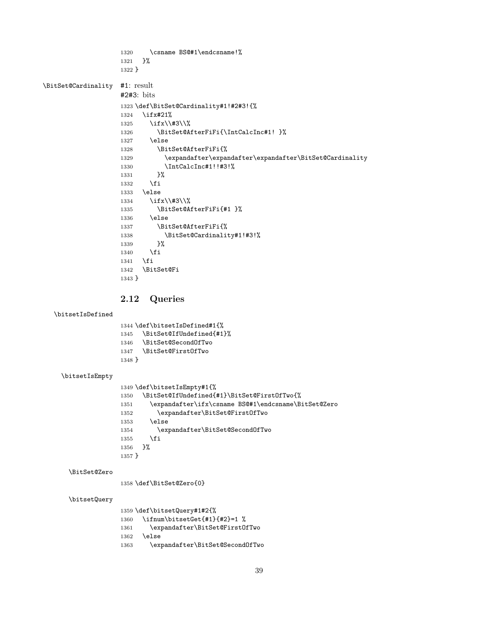```
1320 \csname BS@#1\endcsname!%
                   1321 }%
                   1322 }
\BitSet@Cardinality #1: result
                   #2#3: bits
                   1323 \def\BitSet@Cardinality#1!#2#3!{%
                   1324 \ifx#21%
                   1325 \ifx\\#3\\%
                   1326 \BitSet@AfterFiFi{\IntCalcInc#1! }%
                   1327 \else
                   1328 \BitSet@AfterFiFi{%
                   1329 \expandafter\expandafter\expandafter\BitSet@Cardinality
                   1330 \IntCalcInc#1!!#3!%
                   1331 }%
                   1332 \fi
                   1333 \else
                   1334 \ifx\\#3\\%
                   1335 \BitSet@AfterFiFi{#1 }%
                   1336 \else
                   1337 \BitSet@AfterFiFi{%
                   1338 \BitSet@Cardinality#1!#3!%
                   1339 }%
                   1340 \fi
                   1341 \fi
                   1342 \BitSet@Fi
                   1343 }
                   2.12 Queries
  \bitsetIsDefined
                   1344 \def\bitsetIsDefined#1{%
                   1345 \BitSet@IfUndefined{#1}%
                   1346 \BitSet@SecondOfTwo
                   1347 \BitSet@FirstOfTwo
                   1348 }
    \bitsetIsEmpty
                   1349 \def\bitsetIsEmpty#1{%
                   1350 \BitSet@IfUndefined{#1}\BitSet@FirstOfTwo{%
                   1351 \expandafter\ifx\csname BS@#1\endcsname\BitSet@Zero
                   1352 \expandafter\BitSet@FirstOfTwo
                   1353 \else
                   1354 \expandafter\BitSet@SecondOfTwo
                   1355 \fi
                   1356 }%
                   1357 }
      \BitSet@Zero
                   1358 \def\BitSet@Zero{0}
      \bitsetQuery
                   1359 \def\bitsetQuery#1#2{%
                   1360 \ifnum\bitsetGet{#1}{#2}=1 %
                   1361 \expandafter\BitSet@FirstOfTwo
                   1362 \else
                   1363 \expandafter\BitSet@SecondOfTwo
```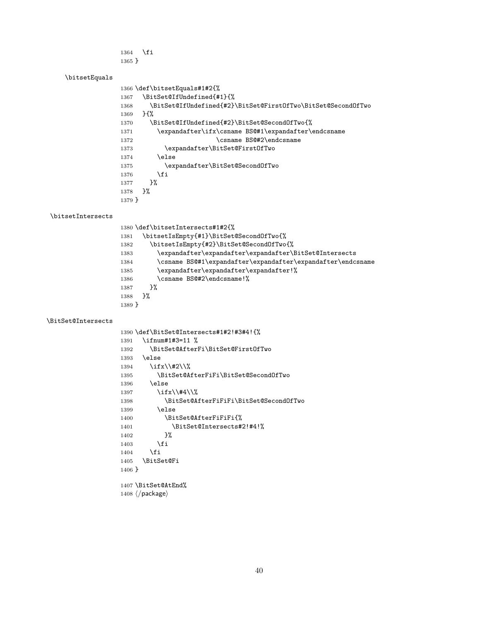\fi }

## <span id="page-39-17"></span>\bitsetEquals

<span id="page-39-20"></span><span id="page-39-19"></span><span id="page-39-11"></span><span id="page-39-10"></span><span id="page-39-9"></span><span id="page-39-8"></span>

|          | 1366 \def\bitsetEquals#1#2{%                                 |
|----------|--------------------------------------------------------------|
| 1367     | \BitSet@IfUndefined{#1}{%                                    |
| 1368     | \BitSet@IfUndefined{#2}\BitSet@First0fTwo\BitSet@Second0fTwo |
| 1369     | $H\%$                                                        |
| 1370     | \BitSet@IfUndefined{#2}\BitSet@SecondOfTwo{%                 |
| 1371     | \expandafter\ifx\csname BS@#1\expandafter\endcsname          |
| 1372     | \csname BS@#2\endcsname                                      |
| 1373     | \expandafter\BitSet@FirstOfTwo                               |
| 1374     | \else                                                        |
| 1375     | \expandafter\BitSet@SecondOfTwo                              |
| 1376     | \fi                                                          |
| 1377     | ጉ%                                                           |
| 1378     | ጉ%                                                           |
| $1379$ } |                                                              |
|          |                                                              |

#### <span id="page-39-18"></span>\bitsetIntersects

<span id="page-39-21"></span><span id="page-39-16"></span><span id="page-39-15"></span><span id="page-39-14"></span><span id="page-39-12"></span>

| 1380 \def\bitsetIntersects#1#2{%                                    |
|---------------------------------------------------------------------|
| \bitsetIsEmpty{#1}\BitSet@SecondOfTwo{%<br>1381                     |
| \bitsetIsEmpty{#2}\BitSet@SecondOfTwo{%<br>1382                     |
| \expandafter\expandafter\expandafter\BitSet@Intersects<br>1383      |
| \csname BS@#1\expandafter\expandafter\expandafter\endcsname<br>1384 |
| \expandafter\expandafter\expandafter!%<br>1385                      |
| \csname BS@#2\endcsname!%<br>1386                                   |
| ጉ%<br>1387                                                          |
| ጉ%<br>1388                                                          |
| $1389$ }                                                            |
|                                                                     |

#### <span id="page-39-13"></span>\BitSet@Intersects

<span id="page-39-23"></span><span id="page-39-22"></span><span id="page-39-7"></span><span id="page-39-6"></span><span id="page-39-5"></span><span id="page-39-4"></span><span id="page-39-3"></span><span id="page-39-2"></span><span id="page-39-1"></span><span id="page-39-0"></span>

| 1390 \def\BitSet@Intersects#1#2!#3#4!{%        |
|------------------------------------------------|
| \ifnum#1#3=11 %<br>1391                        |
| \BitSet@AfterFi\BitSet@FirstOfTwo<br>1392      |
| \else<br>1393                                  |
| \ifx\\#2\\%<br>1394                            |
| \BitSet@AfterFiFi\BitSet@SecondOfTwo<br>1395   |
| \else<br>1396                                  |
| \ifx\\#4\\%<br>1397                            |
| \BitSet@AfterFiFiFi\BitSet@SecondOfTwo<br>1398 |
| \else<br>1399                                  |
| \BitSet@AfterFiFiFi{%<br>1400                  |
| \BitSet@Intersects#2!#4!%<br>1401              |
| ጉ%<br>1402                                     |
| \fi<br>1403                                    |
| \fi<br>1404                                    |
| <b>\BitSet@Fi</b><br>1405                      |
| $1406 \}$                                      |
|                                                |
| 1407 \BitSet@AtEnd%                            |
| $1408 \; \langle$ /package $\rangle$           |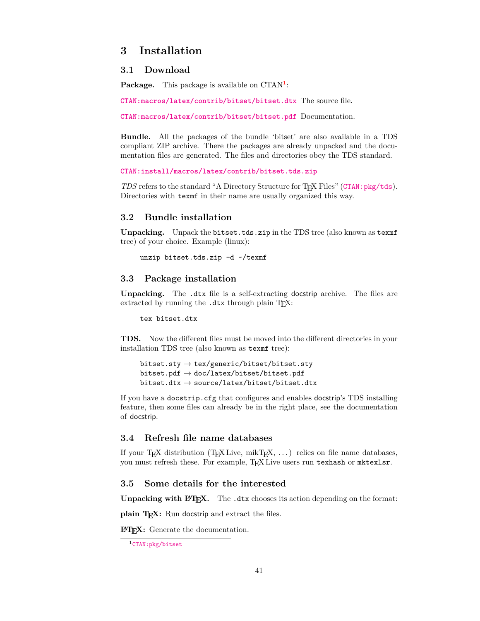## <span id="page-40-0"></span>**3 Installation**

### <span id="page-40-1"></span>**3.1 Download**

Package. This package is available on CTAN<sup>[1](#page-40-6)</sup>:

**[CTAN:macros/latex/contrib/bitset/bitset.dtx](https://ctan.org/tex-archive/macros/latex/contrib/bitset/bitset.dtx)** The source file.

**[CTAN:macros/latex/contrib/bitset/bitset.pdf](https://ctan.org/tex-archive/macros/latex/contrib/bitset/bitset.pdf)** Documentation.

**Bundle.** All the packages of the bundle 'bitset' are also available in a TDS compliant ZIP archive. There the packages are already unpacked and the documentation files are generated. The files and directories obey the TDS standard.

```
CTAN:install/macros/latex/contrib/bitset.tds.zip
```
*TDS* refers to the standard "A Directory Structure for T<sub>E</sub>X Files" ([CTAN:pkg/tds](http://ctan.org/pkg/tds)). Directories with texmf in their name are usually organized this way.

## <span id="page-40-2"></span>**3.2 Bundle installation**

**Unpacking.** Unpack the bitset.tds.zip in the TDS tree (also known as texmf tree) of your choice. Example (linux):

unzip bitset.tds.zip -d ~/texmf

#### <span id="page-40-3"></span>**3.3 Package installation**

**Unpacking.** The .dtx file is a self-extracting docstrip archive. The files are extracted by running the  $.$ dtx through plain T<sub>E</sub>X:

tex bitset.dtx

**TDS.** Now the different files must be moved into the different directories in your installation TDS tree (also known as texmf tree):

```
bitset.sty \rightarrow tex/generic/bitset/bitset.sty
\texttt{bitset.pdf} \rightarrow \texttt{doc/lates/bitset/bitset.pdf}bitset.dtx \rightarrow source/latex/bitset/bitset.dtx
```
If you have a docstrip.cfg that configures and enables docstrip's TDS installing feature, then some files can already be in the right place, see the documentation of docstrip.

## <span id="page-40-4"></span>**3.4 Refresh file name databases**

If your T<sub>EX</sub> distribution  $(TEX \text{ Live}, \text{mikTFX}, \dots)$  relies on file name databases, you must refresh these. For example, TFX Live users run texhash or mktexlsr.

## <span id="page-40-5"></span>**3.5 Some details for the interested**

**Unpacking with L<sup>A</sup>TEX.** The .dtx chooses its action depending on the format:

plain T<sub>E</sub>X: Run docstrip and extract the files.

**LATEX:** Generate the documentation.

<span id="page-40-6"></span><sup>1</sup>[CTAN:pkg/bitset](http://ctan.org/pkg/bitset)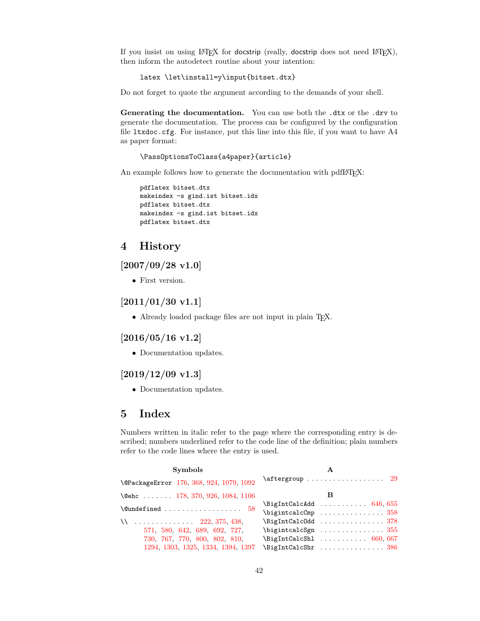If you insist on using  $L^2T_FX$  for docstrip (really, docstrip does not need  $L^2T_FX$ ), then inform the autodetect routine about your intention:

latex \let\install=y\input{bitset.dtx}

Do not forget to quote the argument according to the demands of your shell.

Generating the documentation. You can use both the .dtx or the .drv to generate the documentation. The process can be configured by the configuration file  $l$ txdoc.cfg. For instance, put this line into this file, if you want to have  $A4$ as paper format:

\PassOptionsToClass{a4paper}{article}

An example follows how to generate the documentation with pdfL<sup>AT</sup>EX:

```
pdflatex bitset.dtx
makeindex -s gind.ist bitset.idx
pdflatex bitset.dtx
makeindex -s gind.ist bitset.idx
pdflatex bitset.dtx
```
## <span id="page-41-0"></span>**4 History**

## <span id="page-41-1"></span>**[2007/09/28 v1.0]**

• First version.

## <span id="page-41-2"></span>**[2011/01/30 v1.1]**

• Already loaded package files are not input in plain TFX.

## <span id="page-41-3"></span>**[2016/05/16 v1.2]**

• Documentation updates.

## <span id="page-41-4"></span>**[2019/12/09 v1.3]**

• Documentation updates.

## <span id="page-41-5"></span>**5 Index**

Numbers written in italic refer to the page where the corresponding entry is described; numbers underlined refer to the code line of the definition; plain numbers refer to the code lines where the entry is used.

| <b>Symbols</b>                                               |                                                                                                                                                                                                                                                                                                    |
|--------------------------------------------------------------|----------------------------------------------------------------------------------------------------------------------------------------------------------------------------------------------------------------------------------------------------------------------------------------------------|
| \@PackageError 176, 368, 924, 1079, 1092                     | $\setminus$ aftergroup $29$                                                                                                                                                                                                                                                                        |
| $\text{Qehc}$ 178, 370, 926, 1084, 1106                      |                                                                                                                                                                                                                                                                                                    |
|                                                              | $\left\{ \Delta t \right\}$ 646, 655                                                                                                                                                                                                                                                               |
| $\text{Qundefined} \dots \dots \dots \dots \dots \dots \ 58$ | $\big\{\big\}$ $\big\{\big\}$ $\big\}$ $\big\}$ $\big\{$ $\big\}$ $\big\}$ $\big\{$ $\big\}$ $\big\}$ $\big\}$ $\big\}$ $\big\{$ $\big\}$ $\big\}$ $\big\}$ $\big\{$ $\big\}$ $\big\}$ $\big\{$ $\big\}$ $\big\{$ $\big\}$ $\big\{$ $\big\}$ $\big\{$ $\big\}$ $\big\{$ $\big\}$ $\big\{$ $\big\}$ |
|                                                              |                                                                                                                                                                                                                                                                                                    |
| 571, 580, 642, 689, 692, 727,                                | $\big\{\big\}$ $\big\{\big\}$ $\big\}$ $\big\}$ $\big\}$ $\big\}$ $\big\}$ $\big\}$ $\big\}$ $\big\}$ $\big\}$ $\big\}$ $\big\}$ $\big\}$ $\big\}$ $\big\}$ $\big\}$ $\big\}$ $\big\}$ $\big\}$ $\big\}$ $\big\}$ $\big\{$ $\big\}$ $\big\{$ $\big\}$ $\big\{$ $\big\}$ $\big\{$ $\big\}$ $\big\{$ |
| 730, 767, 770, 800, 802, 810,                                | $\left\{ \text{BigIntCalcShl} \dots \dots \dots \ 660, 667 \right\}$                                                                                                                                                                                                                               |
| 1294, 1303, 1325, 1334, 1394, 1397                           | $\left\{ \Delta t \right\}$                                                                                                                                                                                                                                                                        |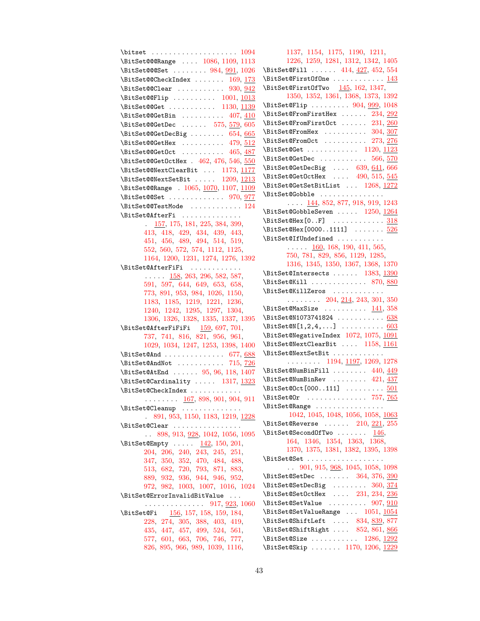$\text{bitset} \dots \dots \dots \dots \dots \ 1094$  $\text{bitset} \dots \dots \dots \dots \dots \ 1094$ \BitSet@@@Range . . . . [1086,](#page-32-2) [1109,](#page-33-5) [1113](#page-33-6) \BitSet@@@Set ....... [984,](#page-30-2) [991,](#page-30-3) [1026](#page-31-1) \BitSet@@CheckIndex ...... [169,](#page-12-3) [173](#page-12-4) \BitSet@@Clear . . . . . . . . . . [930,](#page-29-3) [942](#page-29-4) \BitSet@@Flip ......... [1001,](#page-30-4) [1013](#page-31-2) \BitSet@@Get . . . . . . . . . . . [1130,](#page-33-7) [1139](#page-34-1) \BitSet@@GetBin . . . . . . . . . [407,](#page-17-5) [410](#page-17-6)  $\verb+\Bitset@GetDec ... ... 575, \underline{579}, 605$  $\verb+\Bitset@GetDec ... ... 575, \underline{579}, 605$  $\verb+\Bitset@GetDec ... ... 575, \underline{579}, 605$  $\verb+\Bitset@GetDec ... ... 575, \underline{579}, 605$ \BitSet@@GetDecBig . . . . . . . . [654,](#page-23-6) [665](#page-23-7)  $\big\}$ BitSet@@GetHex . . . . . . . . . [479,](#page-19-0)  $512$ \BitSet@@GetOct . . . . . . . . . [465,](#page-19-1) [487](#page-19-2) \BitSet@@GetOctHex . [462,](#page-19-3) [476,](#page-19-4) [546,](#page-20-1) [550](#page-20-2) \BitSet@@NextClearBit ... [1173,](#page-34-2) [1177](#page-34-3) \BitSet@@NextSetBit . . . . . [1209,](#page-35-0) [1213](#page-35-1) \BitSet@@Range . [1065,](#page-32-3) [1070,](#page-32-4) [1107,](#page-33-8) [1109](#page-33-9) \BitSet@@Set . . . . . . . . . . . . . [970,](#page-30-5) [977](#page-30-6) \BitSet@@TestMode . . . . . . . . . . . . [124](#page-11-4) \BitSet@AfterFi . . . . . . . . . . . . . . [157,](#page-12-5) [175,](#page-12-6) [181,](#page-13-4) [225,](#page-14-2) [384,](#page-17-7) [399,](#page-17-8) [413,](#page-17-9) [418,](#page-18-2) [429,](#page-18-3) [434,](#page-18-4) [439,](#page-18-5) [443,](#page-18-6) [451,](#page-18-7) [456,](#page-18-8) [489,](#page-19-5) [494,](#page-19-6) [514,](#page-20-3) [519,](#page-20-4) [552,](#page-21-5) [560,](#page-21-6) [572,](#page-21-7) [574,](#page-21-8) [1112,](#page-33-10) [1125,](#page-33-11) [1164,](#page-34-4) [1200,](#page-35-2) [1231,](#page-36-1) [1274,](#page-37-3) [1276,](#page-37-4) [1392](#page-39-2) \BitSet@AfterFiFi . . . . . . . . . . . .  $\ldots$  .  $\frac{158}{263}$ , [296,](#page-15-0) [582,](#page-21-9) [587,](#page-21-10) [591,](#page-21-11) [597,](#page-22-2) [644,](#page-22-3) [649,](#page-23-8) [653,](#page-23-9) [658,](#page-23-10) [773,](#page-25-3) [891,](#page-28-1) [953,](#page-29-5) [984,](#page-30-2) [1026,](#page-31-1) [1150,](#page-34-5) [1183,](#page-34-6) [1185,](#page-35-3) [1219,](#page-35-4) [1221,](#page-35-5) [1236,](#page-36-2) [1240,](#page-36-3) [1242,](#page-36-4) [1295,](#page-37-5) [1297,](#page-37-6) [1304,](#page-37-7) [1306,](#page-37-8) [1326,](#page-38-3) [1328,](#page-38-4) [1335,](#page-38-5) [1337,](#page-38-6) [1395](#page-39-3) \BitSet@AfterFiFiFi [159,](#page-12-8) [697,](#page-24-5) [701,](#page-24-6) [737,](#page-25-4) [741,](#page-25-5) [816,](#page-26-4) [821,](#page-26-5) [956,](#page-29-6) [961,](#page-30-7) [1029,](#page-31-3) [1034,](#page-31-4) [1247,](#page-36-5) [1253,](#page-36-6) [1398,](#page-39-4) [1400](#page-39-5) \BitSet@And . . . . . . . . . . . . . . [677,](#page-23-11) [688](#page-24-7) \BitSet@AndNot .......... [715,](#page-24-8) [726](#page-24-9) \BitSet@AtEnd . . . . . . [95,](#page-10-2) [96,](#page-10-3) [118,](#page-11-5) [1407](#page-39-6) \BitSet@Cardinality . . . . . [1317,](#page-37-9) [1323](#page-38-7) \BitSet@CheckIndex . . . . . . . . . . . . . . . . . . . [167,](#page-12-9) [898,](#page-28-2) [901,](#page-28-3) [904,](#page-28-4) [911](#page-28-5) \BitSet@Cleanup . . . . . . . . . . . . . . . [891,](#page-28-1) [953,](#page-29-5) [1150,](#page-34-5) [1183,](#page-34-6) [1219,](#page-35-4) [1228](#page-35-6) \BitSet@Clear . . . . . . . . . . . . . . . . . [898,](#page-28-2) [913,](#page-29-7) [928,](#page-29-8) [1042,](#page-31-5) [1056,](#page-32-5) [1095](#page-33-12)  $\big\}$ BitSet@Empty . . . . . [142,](#page-11-6) [150,](#page-12-10) [201,](#page-13-5) [204,](#page-13-6) [206,](#page-13-7) [240,](#page-14-4) [243,](#page-14-5) [245,](#page-14-6) [251,](#page-14-7) [347,](#page-16-5) [350,](#page-16-6) [352,](#page-16-7) [470,](#page-19-7) [484,](#page-19-8) [488,](#page-19-9) [513,](#page-20-5) [682,](#page-23-12) [720,](#page-24-10) [793,](#page-26-6) [871,](#page-28-6) [883,](#page-28-7) [889,](#page-28-8) [932,](#page-29-9) [936,](#page-29-10) [944,](#page-29-11) [946,](#page-29-12) [952,](#page-29-13) [972,](#page-30-8) [982,](#page-30-9) [1003,](#page-30-10) [1007,](#page-31-6) [1016,](#page-31-7) [1024](#page-31-8) \BitSet@ErrorInvalidBitValue . . . . . . . . . . . . . . . . . [917,](#page-29-14) <u>923</u>, [1060](#page-32-6) \BitSet@Fi [156,](#page-12-11) [157,](#page-12-12) [158,](#page-12-13) [159,](#page-12-14) [184,](#page-13-8) [228,](#page-14-8) [274,](#page-15-1) [305,](#page-15-2) [388,](#page-17-10) [403,](#page-17-11) [419,](#page-18-9) [435,](#page-18-10) [447,](#page-18-11) [457,](#page-18-12) [499,](#page-19-10) [524,](#page-20-6) [561,](#page-21-12) [577,](#page-21-13) [601,](#page-22-4) [663,](#page-23-13) [706,](#page-24-11) [746,](#page-25-6) [777,](#page-25-7) [826,](#page-26-7) [895,](#page-28-9) [966,](#page-30-11) [989,](#page-30-12) [1039,](#page-31-9) [1116,](#page-33-13)

[1137,](#page-33-14) [1154,](#page-34-7) [1175,](#page-34-8) [1190,](#page-35-7) [1211,](#page-35-8) [1226,](#page-35-9) [1259,](#page-36-7) [1281,](#page-37-10) [1312,](#page-37-11) [1342,](#page-38-8) [1405](#page-39-7) \BitSet@Fill ...... [414,](#page-17-12) [427,](#page-18-13) [452,](#page-18-14) [554](#page-21-14) \BitSet@FirstOfOne ............ [143](#page-11-7)  $\big\}$ BitSet@FirstOfTwo  $145, 162, 1347,$  $145, 162, 1347,$  $145, 162, 1347,$  $145, 162, 1347,$  $145, 162, 1347,$ [1350,](#page-38-10) [1352,](#page-38-11) [1361,](#page-38-12) [1368,](#page-39-8) [1373,](#page-39-9) [1392](#page-39-2) \BitSet@Flip ........ [904,](#page-28-4) [999,](#page-30-13) [1048](#page-31-10) \BitSet@FromFirstHex ...... [234,](#page-14-9) [292](#page-15-3) \BitSet@FromFirstOct ..... [231,](#page-14-10) [260](#page-14-11)  $\text{BitSet@FromHex } \dots \dots \dots \ 304, \frac{307}{304}$  $\text{BitSet@FromHex } \dots \dots \dots \ 304, \frac{307}{304}$  $\text{BitSet@FromHex } \dots \dots \dots \ 304, \frac{307}{304}$  $\text{BitSet@FromHex } \dots \dots \dots \ 304, \frac{307}{304}$  $\text{BitSet@FromHex } \dots \dots \dots \ 304, \frac{307}{304}$ \BitSet@FromOct ......... [273,](#page-15-6) [276](#page-15-7) \BitSet@Get . . . . . . . . . . . . [1120,](#page-33-15) [1123](#page-33-16)  $\left\{\text{Set@GetDec } \dots \dots \dots \ 566, 570\right\}$  $\left\{\text{Set@GetDec } \dots \dots \dots \ 566, 570\right\}$  $\left\{\text{Set@GetDec } \dots \dots \dots \ 566, 570\right\}$  $\left\{\text{Set@GetDec } \dots \dots \dots \ 566, 570\right\}$  $\left\{\text{Set@GetDec } \dots \dots \dots \ 566, 570\right\}$ \BitSet@GetDecBig .... [639,](#page-22-5) [641,](#page-22-6) [666](#page-23-14) \BitSet@GetOctHex .... [490,](#page-19-11) [515,](#page-20-7) [545](#page-20-8) \BitSet@GetSetBitList ... [1268,](#page-36-8) [1272](#page-36-9) \BitSet@Gobble ...............  $\ldots$  [144,](#page-11-9) [852,](#page-27-3) [877,](#page-28-10) [918,](#page-29-16) [919,](#page-29-17) [1243](#page-36-10) \BitSet@GobbleSeven ..... [1250,](#page-36-11) [1264](#page-36-12)  $\big\}$ BitSet@Hex[0..F] . . . . . . . . . . . . [318](#page-16-8) \BitSet@Hex[0000..1111] ....... [526](#page-20-9) \BitSet@IfUndefined . . . . . . . . . . .  $\ldots$  .  $\frac{160}{168}$ , [190,](#page-13-9) [411,](#page-17-13) [565,](#page-21-17) [750,](#page-25-8) [781,](#page-26-8) [829,](#page-27-4) [856,](#page-27-5) [1129,](#page-33-17) [1285,](#page-37-12) [1316,](#page-37-13) [1345,](#page-38-13) [1350,](#page-38-10) [1367,](#page-39-10) [1368,](#page-39-8) [1370](#page-39-11) \BitSet@Intersects ...... [1383,](#page-39-12) [1390](#page-39-13) \BitSet@Kill . . . . . . . . . . . . [870,](#page-27-6) [880](#page-28-11) \BitSet@KillZeros . . . . . . . . . . . .  $\ldots$  . . . . . . [204,](#page-13-6) [214,](#page-13-10) [243,](#page-14-5) [301,](#page-15-8) [350](#page-16-6) \BitSet@MaxSize . . . . . . . . . [141,](#page-11-10) [358](#page-16-3) \BitSet@N1073741824 . . . . . . . . . . . [638](#page-22-7)  $\text{DistSet@N}[1,2,4,\ldots]$  .......... [603](#page-22-8) \BitSet@NegativeIndex [1072,](#page-32-7) [1075,](#page-32-8) [1091](#page-32-9) \BitSet@NextClearBit .... [1158,](#page-34-9) [1161](#page-34-10) \BitSet@NextSetBit . . . . . . . . . . . . . . . . . . . . [1194,](#page-35-10) [1197,](#page-35-11) [1269,](#page-36-13) [1278](#page-37-14) \BitSet@NumBinFill ....... [440,](#page-18-15) [449](#page-18-16) \BitSet@NumBinRev . . . . . . . [421,](#page-18-17) [437](#page-18-18)  $\text{BitSet@Oct}[000..111]$  ........ [501](#page-19-12) \BitSet@Or . . . . . . . . . . . . . . [757,](#page-25-9) [765](#page-25-10) \BitSet@Range ................ [1042,](#page-31-5) [1045,](#page-31-11) [1048,](#page-31-10) [1056,](#page-32-5) [1058,](#page-32-10) [1063](#page-32-11) \BitSet@Reverse ...... [210,](#page-13-11) [221,](#page-14-12) [255](#page-14-13) \BitSet@SecondOfTwo . . . . . . . [146,](#page-11-11) [164,](#page-12-18) [1346,](#page-38-14) [1354,](#page-38-15) [1363,](#page-38-16) [1368,](#page-39-8) [1370,](#page-39-11) [1375,](#page-39-14) [1381,](#page-39-15) [1382,](#page-39-16) [1395,](#page-39-3) [1398](#page-39-4) \BitSet@Set . . . . . . . . . . . . . . . . . . . . [901,](#page-28-3) [915,](#page-29-18) [968,](#page-30-14) [1045,](#page-31-11) [1058,](#page-32-10) [1098](#page-33-18) \BitSet@SetDec ...... [364,](#page-16-9) [376,](#page-17-14) [390](#page-17-15) \BitSet@SetDecBig ....... [360,](#page-16-10) [374](#page-17-16) \BitSet@SetOctHex .... [231,](#page-14-10) [234,](#page-14-9) [236](#page-14-14)  $\big\}$ BitSet@SetValue ........ [907,](#page-28-12) [910](#page-28-13) \BitSet@SetValueRange . . . [1051,](#page-32-12) [1054](#page-32-13) \BitSet@ShiftLeft .... [834,](#page-27-7) [839,](#page-27-8) [877](#page-28-10) \BitSet@ShiftRight . . . . [852,](#page-27-3) [861,](#page-27-9) [866](#page-27-10) \BitSet@Size .......... [1286,](#page-37-15) [1292](#page-37-16) \BitSet@Skip . . . . . . . [1170,](#page-34-11) [1206,](#page-35-12) [1229](#page-35-13)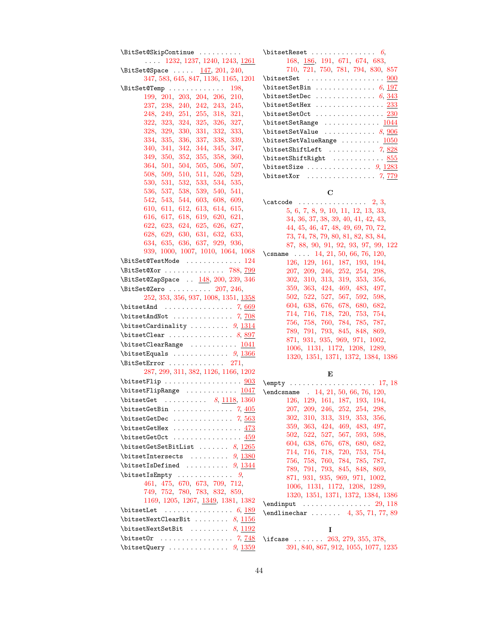| \BitSet@SkipContinue                                                                                                                                                                                                                                                                                                                                                                                                        | \bitsetI           |
|-----------------------------------------------------------------------------------------------------------------------------------------------------------------------------------------------------------------------------------------------------------------------------------------------------------------------------------------------------------------------------------------------------------------------------|--------------------|
| $\ldots$ 1232, 1237, 1240, 1243, 1261                                                                                                                                                                                                                                                                                                                                                                                       | 1                  |
| \BitSet@Space  147, 201, 240,                                                                                                                                                                                                                                                                                                                                                                                               | $\overline{7}$     |
| 347, 583, 645, 847, 1136, 1165, 1201                                                                                                                                                                                                                                                                                                                                                                                        | \bitset?           |
| $\{\text{BitSet@Temp } \ldots \ldots \ldots \quad 198,\}$                                                                                                                                                                                                                                                                                                                                                                   | \bitset?           |
| 199, 201, 203, 204, 206, 210,                                                                                                                                                                                                                                                                                                                                                                                               | \bitset?           |
| 237, 238, 240, 242, 243, 245,                                                                                                                                                                                                                                                                                                                                                                                               | \bitset?           |
| $248,\ 249,\ 251,\ 255,\ 318,\ 321,$                                                                                                                                                                                                                                                                                                                                                                                        | \bitset?           |
| 322, 323, 324, 325, 326, 327,                                                                                                                                                                                                                                                                                                                                                                                               | \bitset?           |
| 328, 329, 330, 331, 332, 333,                                                                                                                                                                                                                                                                                                                                                                                               | \bitset?           |
| 334, 335, 336, 337, 338, 339,                                                                                                                                                                                                                                                                                                                                                                                               | \bitset?           |
| 340, 341, 342, 344, 345, 347,                                                                                                                                                                                                                                                                                                                                                                                               | \bitset?           |
| 349, 350, 352, 355, 358, 360,                                                                                                                                                                                                                                                                                                                                                                                               | \bitset?           |
| 364, 501, 504, 505, 506, 507,                                                                                                                                                                                                                                                                                                                                                                                               | \bitset?           |
| 508, 509, 510, 511, 526, 529,                                                                                                                                                                                                                                                                                                                                                                                               | \bitset)           |
| 530, 531, 532, 533, 534, 535,                                                                                                                                                                                                                                                                                                                                                                                               |                    |
| 536, 537, 538, 539, 540, 541,                                                                                                                                                                                                                                                                                                                                                                                               |                    |
| 542, 543, 544, 603, 608, 609,                                                                                                                                                                                                                                                                                                                                                                                               | \catcod            |
| 610, 611, 612, 613, 614, 615,                                                                                                                                                                                                                                                                                                                                                                                               | 5                  |
| 616, 617, 618, 619, 620, 621,                                                                                                                                                                                                                                                                                                                                                                                               | 3                  |
| 622, 623, 624, 625, 626, 627,                                                                                                                                                                                                                                                                                                                                                                                               | $\overline{4}$     |
| 628, 629, 630, 631, 632, 633,                                                                                                                                                                                                                                                                                                                                                                                               | $\overline{7}$     |
| 634, 635, 636, 637, 929, 936,                                                                                                                                                                                                                                                                                                                                                                                               | 8                  |
| 939, 1000, 1007, 1010, 1064, 1068                                                                                                                                                                                                                                                                                                                                                                                           | $\setminus$ csname |
| $\text{BitSet@TestMode} \dots \dots \dots \dots \ 124$                                                                                                                                                                                                                                                                                                                                                                      | 1                  |
| \BitSet@Xor  788, 799                                                                                                                                                                                                                                                                                                                                                                                                       | $\overline{2}$     |
| \BitSet@ZapSpace  148, 200, 239, 346                                                                                                                                                                                                                                                                                                                                                                                        | 3                  |
| $\text{BitSet@Zero} \dots \dots \dots \ 207, 246,$                                                                                                                                                                                                                                                                                                                                                                          | 3                  |
| 252, 353, 356, 937, 1008, 1351, 1358                                                                                                                                                                                                                                                                                                                                                                                        | $\overline{5}$     |
| $\text{bitsetAnd} \ldots \ldots \ldots \ldots \ldots \tag{669}$                                                                                                                                                                                                                                                                                                                                                             | $\boldsymbol{6}$   |
| $\big\{\text{EndNot } \ldots \ldots \ldots \quad \text{7, } \underline{708}\$                                                                                                                                                                                                                                                                                                                                               | $\overline{7}$     |
| \bitsetCardinality $9, \frac{1314}{131}$                                                                                                                                                                                                                                                                                                                                                                                    | $\overline{7}$     |
| $\text{Clear } \ldots \ldots \ldots \quad 8, \frac{897}{897}$                                                                                                                                                                                                                                                                                                                                                               | $\overline{7}$     |
| $\verb+\bitsetClearRange + \verb+++\verb++++\verb+++++ \verb+\++++ \verb+\++++ \verb+\++++ \verb+\++++ \verb+\++++ \verb+\+++ \verb+\+++ \verb+\+++ \verb+\+++ \verb+\+++ \verb+\+++ \verb+\+++ \verb+\+++ \verb+\+++ \verb+\+++ \verb+\+++ \verb+\+++ \verb+\+++ \verb+\+++ \verb+\+++ \verb+\+++ \verb+\+++ \verb+\+++ \verb+\+++ \verb+\+++ \verb+\+++ \verb+\+++ \verb+\+++ \verb+\+++ \verb+\+++ \verb+\+++ \verb+\++$ | 8                  |
| $\big\{\text{bitsetEquals } \ldots \ldots \ldots \quad 9, \frac{1366}{1360}\$                                                                                                                                                                                                                                                                                                                                               | $\mathbf{1}$       |
|                                                                                                                                                                                                                                                                                                                                                                                                                             | $\mathbf{1}$       |
| $\text{BitSetError}$ 271,                                                                                                                                                                                                                                                                                                                                                                                                   |                    |
| 287, 299, 311, 382, 1126, 1166, 1202                                                                                                                                                                                                                                                                                                                                                                                        |                    |
| $\big\{\text{Lip}\dots\dots\dots\dots\dots\ \underline{903}$                                                                                                                                                                                                                                                                                                                                                                | \empty             |
|                                                                                                                                                                                                                                                                                                                                                                                                                             | \endcsna           |
| $\text{bitsetGet} \ldots \ldots \ldots \quad 8, \underline{1118}, 1360$                                                                                                                                                                                                                                                                                                                                                     | $\sim$ $\sim$ 1    |
|                                                                                                                                                                                                                                                                                                                                                                                                                             | $\overline{2}$     |
| $\big\{\text{setGetDec} \dots \dots \dots \quad 7, \frac{563}{2}\$                                                                                                                                                                                                                                                                                                                                                          | 3                  |
|                                                                                                                                                                                                                                                                                                                                                                                                                             | 3                  |
| $\big\{\text{GetOct} \dots \dots \dots \dots \ 459$                                                                                                                                                                                                                                                                                                                                                                         | 5                  |
| \bitsetGetSetBitList $8, 1265$                                                                                                                                                                                                                                                                                                                                                                                              | 6                  |
| $\big\{\text{intersects}\ \dots \dots \ \ 9, \ \frac{1380}{1380}\ \$                                                                                                                                                                                                                                                                                                                                                        | 7<br>7             |
| $\big\{\text{isDefined} \dots \dots \dots \quad 9, \frac{1344}{13344}\big\}$                                                                                                                                                                                                                                                                                                                                                | 7                  |
| $\big\{\text{SEmpty} \dots \dots \dots \quad 9,$                                                                                                                                                                                                                                                                                                                                                                            | 8                  |
| 461, 475, 670, 673, 709, 712,                                                                                                                                                                                                                                                                                                                                                                                               | 1                  |
| 749, 752, 780, 783, 832, 859,                                                                                                                                                                                                                                                                                                                                                                                               | 1                  |
| 1169, 1205, 1267, 1349, 1381, 1382                                                                                                                                                                                                                                                                                                                                                                                          | \endinpt           |
| \bitsetLet<br>$\cdots \cdots \cdots \cdots \cdots \cdots \cdot 6, \underline{189}$                                                                                                                                                                                                                                                                                                                                          | \endline           |
| $\verb+\bitsetNextClearBit    8, \underline{1156}$                                                                                                                                                                                                                                                                                                                                                                          |                    |
| $\big\{\text{bestNextSetBit} \ \ldots \ \ldots \ \ \frac{1192}{1192}\$                                                                                                                                                                                                                                                                                                                                                      |                    |
|                                                                                                                                                                                                                                                                                                                                                                                                                             | \ifcase            |
|                                                                                                                                                                                                                                                                                                                                                                                                                             | 3                  |
| $\big\{\text{Query}\ \ldots \ \ldots \ \ldots \ \ 9, \ \underline{1359}$                                                                                                                                                                                                                                                                                                                                                    |                    |

| $\big\{\text{bestReset}. \ldots \ldots \ldots \ldots 6\big\}$                          |
|----------------------------------------------------------------------------------------|
| 168, 186, 191, 671, 674, 683,                                                          |
| 710, 721, 750, 781, 794, 830, 857                                                      |
| $\big\{\text{setSet} \quad \ldots \quad \ldots \quad \ldots \quad \ldots \quad \ldots$ |
| $\big\{\text{bitsetSetBin } \ldots \ldots \ldots \ldots 6, \underline{197}\$           |
| $\big\{\text{bitsetSetDec }\dots\dots\dots\dots\ 6,\frac{343}{343}\big\}$              |
| $\big\{\text{bitsetSetHex}\ \dots \dots \dots \dots \ 233$                             |
| $\big\{\text{SetSetCct} \dots \dots \dots \dots \ 230$                                 |
| $\big\{\text{setSetRange} \dots \dots \dots \dots \ 1044$                              |
| $\big\{\text{Set}\$                                                                    |
| $\big\{\text{bitsetSetValueRange} \dots \dots \dots \ 1050$                            |
| $\big\{\text{ShiftLeft} \dots \dots \dots \quad \text{7, } \underline{828}\$           |
| \bitsetShiftRight  855                                                                 |
|                                                                                        |
|                                                                                        |

## **C**

| \catcode | $\ldots \ldots \ldots \ldots \ldots 2, 3,$ |
|----------|--------------------------------------------|
|          | 5, 6, 7, 8, 9, 10, 11, 12, 13, 33,         |
|          | 34, 36, 37, 38, 39, 40, 41, 42, 43,        |
|          | 44, 45, 46, 47, 48, 49, 69, 70, 72,        |
|          | 73, 74, 78, 79, 80, 81, 82, 83, 84,        |
|          | 87, 88, 90, 91, 92, 93, 97, 99, 122        |
|          | \csname  14, 21, 50, 66, 76, 120,          |
|          | 126, 129, 161, 187, 193, 194,              |
|          | 207, 209, 246, 252, 254, 298,              |
|          | 302, 310, 313, 319, 353, 356,              |
|          | 359, 363, 424, 469, 483, 497,              |
|          | 502, 522, 527, 567, 592, 598,              |
|          | 604, 638, 676, 678, 680, 682,              |
|          | 714, 716, 718, 720, 753, 754,              |
|          | 756, 758, 760, 784, 785, 787,              |
|          | 789, 791, 793, 845, 848, 869,              |
|          | 871, 931, 935, 969, 971, 1002,             |
|          | 1006, 1131, 1172, 1208, 1289,              |
|          | 1320, 1351, 1371, 1372, 1384, 1386         |
|          |                                            |

**E**

| $\end{t}$ . 14, 21, 50, 66, 76, 120, |
|--------------------------------------|
| 126, 129, 161, 187, 193, 194,        |
| 207, 209, 246, 252, 254, 298,        |
| 302, 310, 313, 319, 353, 356,        |
| 359, 363, 424, 469, 483, 497,        |
| 502, 522, 527, 567, 593, 598,        |
| 604, 638, 676, 678, 680, 682,        |
| 714, 716, 718, 720, 753, 754,        |
| 756, 758, 760, 784, 785, 787,        |
| 789, 791, 793, 845, 848, 869,        |
| 871, 931, 935, 969, 971, 1002,       |
| 1006, 1131, 1172, 1208, 1289,        |
| 1320, 1351, 1371, 1372, 1384, 1386   |
|                                      |
| $\end{line}$ 4, 35, 71, 77, 89       |

**I**

\ifcase ...... [263,](#page-14-3) [279,](#page-15-17) [355,](#page-16-4) [378,](#page-17-3) [391,](#page-17-19) [840,](#page-27-21) [867,](#page-27-22) [912,](#page-29-24) [1055,](#page-32-17) [1077,](#page-32-18) [1235](#page-36-19)